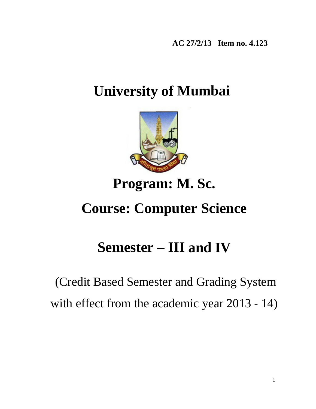**AC 27/2/13 Item no. 4.123**

# **University of Mumbai**



# **Program: M. Sc.**

# **Course: Computer Science**

# **Semester – III and IV**

# (Credit Based Semester and Grading System with effect from the academic year 2013 - 14)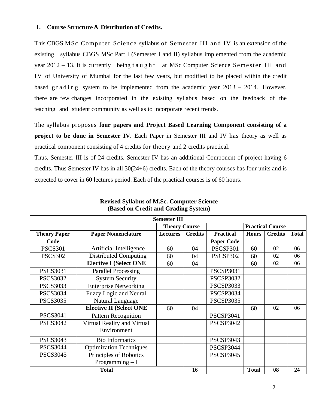### **1. Course Structure & Distribution of Credits.**

This CBGS MSc Computer Science syllabus of Semester III and IV is an extension of the existing syllabus CBGS MSc Part I (Semester I and II) syllabus implemented from the academic year 2012 – 13. It is currently being t a u g h t at MSc Computer Science Seme ster III and IV of University of Mumbai for the last few years, but modified to be placed within the credit based g r a d i n g system to be implemented from the academic year  $2013 - 2014$ . However, there are few changes incorporated in the existing syllabus based on the feedback of the teaching and student community as well as to incorporate recent trends.

The syllabus proposes **four papers and Project Based Learning Component consisting of a project to be done in Semester IV.** Each Paper in Semester III and IV has theory as well as practical component consisting of 4 credits for theory and 2 credits practical.

Thus, Semester III is of 24 credits. Semester IV has an additional Component of project having 6 credits. Thus Semester IV has in all 30(24+6) credits. Each of the theory courses has four units and is expected to cover in 60 lectures period. Each of the practical courses is of 60 hours.

|                     |                                            | <b>Semester III</b> |                      |                   |              |                         |              |
|---------------------|--------------------------------------------|---------------------|----------------------|-------------------|--------------|-------------------------|--------------|
|                     |                                            |                     | <b>Theory Course</b> |                   |              | <b>Practical Course</b> |              |
| <b>Theory Paper</b> | <b>Paper Nomenclature</b>                  | <b>Lectures</b>     | <b>Credits</b>       | <b>Practical</b>  | <b>Hours</b> | <b>Credits</b>          | <b>Total</b> |
| Code                |                                            |                     |                      | <b>Paper Code</b> |              |                         |              |
| <b>PSCS301</b>      | Artificial Intelligence                    | 60                  | 04                   | PSCSP301          | 60           | 02                      | 06           |
| <b>PSCS302</b>      | <b>Distributed Computing</b>               | 60                  | 04                   | PSCSP302          | 60           | 02                      | 06           |
|                     | <b>Elective I (Select ONE)</b>             | 60                  | 04                   |                   | 60           | 02                      | 06           |
| <b>PSCS3031</b>     | <b>Parallel Processing</b>                 |                     |                      | <b>PSCSP3031</b>  |              |                         |              |
| <b>PSCS3032</b>     | <b>System Security</b>                     |                     |                      | <b>PSCSP3032</b>  |              |                         |              |
| <b>PSCS3033</b>     | <b>Enterprise Networking</b>               |                     |                      | <b>PSCSP3033</b>  |              |                         |              |
| <b>PSCS3034</b>     | <b>Fuzzy Logic and Neural</b>              |                     |                      | <b>PSCSP3034</b>  |              |                         |              |
| <b>PSCS3035</b>     | Natural Language                           |                     |                      | <b>PSCSP3035</b>  |              |                         |              |
|                     | <b>Elective II (Select ONE</b>             | 60                  | 04                   |                   | 60           | 02                      | 06           |
| <b>PSCS3041</b>     | <b>Pattern Recognition</b>                 |                     |                      | <b>PSCSP3041</b>  |              |                         |              |
| <b>PSCS3042</b>     | Virtual Reality and Virtual<br>Environment |                     |                      | <b>PSCSP3042</b>  |              |                         |              |
| <b>PSCS3043</b>     | <b>Bio Informatics</b>                     |                     |                      | <b>PSCSP3043</b>  |              |                         |              |
| <b>PSCS3044</b>     | <b>Optimization Techniques</b>             |                     |                      | PSCSP3044         |              |                         |              |
| <b>PSCS3045</b>     | Principles of Robotics                     |                     |                      | <b>PSCSP3045</b>  |              |                         |              |
|                     | Programming $-I$                           |                     |                      |                   |              |                         |              |
|                     | <b>Total</b>                               |                     | 16                   |                   | <b>Total</b> | 08                      | 24           |

**Revised Syllabus of M.Sc. Computer Science (Based on Credit and Grading System)**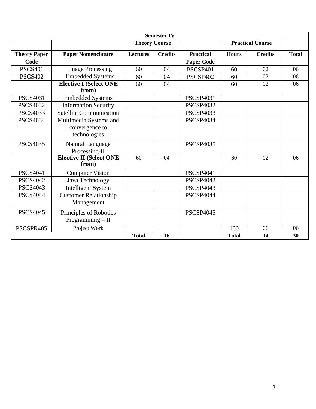|                     |                                              |                      | <b>Semester IV</b> |                   |              |                         |              |
|---------------------|----------------------------------------------|----------------------|--------------------|-------------------|--------------|-------------------------|--------------|
|                     |                                              | <b>Theory Course</b> |                    |                   |              | <b>Practical Course</b> |              |
| <b>Theory Paper</b> | <b>Paper Nomenclature</b>                    | <b>Lectures</b>      | <b>Credits</b>     | <b>Practical</b>  | <b>Hours</b> | <b>Credits</b>          | <b>Total</b> |
| Code                |                                              |                      |                    | <b>Paper Code</b> |              |                         |              |
| <b>PSCS401</b>      | <b>Image Processing</b>                      | 60                   | 04                 | <b>PSCSP401</b>   | 60           | 02                      | 06           |
| <b>PSCS402</b>      | <b>Embedded Systems</b>                      | 60                   | 04                 | PSCSP402          | 60           | 02                      | 06           |
|                     | <b>Elective I (Select ONE)</b><br>from)      | 60                   | 04                 |                   | 60           | 02                      | 06           |
| <b>PSCS4031</b>     | <b>Embedded Systems</b>                      |                      |                    | <b>PSCSP4031</b>  |              |                         |              |
| <b>PSCS4032</b>     | <b>Information Security</b>                  |                      |                    | <b>PSCSP4032</b>  |              |                         |              |
| <b>PSCS4033</b>     | <b>Satellite Communication</b>               |                      |                    | <b>PSCSP4033</b>  |              |                         |              |
| <b>PSCS4034</b>     | Multimedia Systems and                       |                      |                    | <b>PSCSP4034</b>  |              |                         |              |
|                     | convergence to<br>technologies               |                      |                    |                   |              |                         |              |
| <b>PSCS4035</b>     | Natural Language<br>Processing-II            |                      |                    | <b>PSCSP4035</b>  |              |                         |              |
|                     | <b>Elective II (Select ONE)</b><br>from)     | 60                   | 04                 |                   | 60           | 02                      | 06           |
| <b>PSCS4041</b>     | <b>Computer Vision</b>                       |                      |                    | <b>PSCSP4041</b>  |              |                         |              |
| <b>PSCS4042</b>     | Java Technology                              |                      |                    | <b>PSCSP4042</b>  |              |                         |              |
| <b>PSCS4043</b>     | <b>Intelligent System</b>                    |                      |                    | <b>PSCSP4043</b>  |              |                         |              |
| <b>PSCS4044</b>     | <b>Customer Relationship</b><br>Management   |                      |                    | <b>PSCSP4044</b>  |              |                         |              |
| <b>PSCS4045</b>     | Principles of Robotics<br>Programming $-$ II |                      |                    | <b>PSCSP4045</b>  |              |                         |              |
| PSCSPR405           | Project Work                                 |                      |                    |                   | 100          | 06                      | 06           |
|                     |                                              | <b>Total</b>         | 16                 |                   | <b>Total</b> | 14                      | 30           |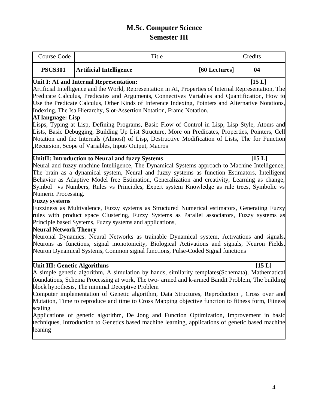# **M.Sc. Computer Science Semester III**

| Course Code    |                                | Title |               | Credits |
|----------------|--------------------------------|-------|---------------|---------|
| <b>PSCS301</b> | <b>Artificial Intelligence</b> |       | [60 Lectures] | 04      |

### Unit I: AI and Internal Representation: [15 L]

Artificial Intelligence and the World, Representation in AI, Properties of Internal Representation, The Predicate Calculus, Predicates and Arguments, Connectives Variables and Quantification, How to Use the Predicate Calculus, Other Kinds of Inference Indexing, Pointers and Alternative Notations, Indexing, The Isa Hierarchy, Slot-Assertion Notation, Frame Notation.

### **AI language: Lisp**

Lisps, Typing at Lisp, Defining Programs, Basic Flow of Control in Lisp, Lisp Style, Atoms and Lists, Basic Debugging, Building Up List Structure, More on Predicates, Properties, Pointers, Cell Notation and the Internals (Almost) of Lisp, Destructive Modification of Lists, The for Function ,Recursion, Scope of Variables, Input/ Output, Macros

### UnitII: Introduction to Neural and fuzzy Systems [15 L]

Neural and fuzzy machine Intelligence, The Dynamical Systems approach to Machine Intelligence, The brain as a dynamical system, Neural and fuzzy systems as function Estimators, Intelligent Behavior as Adaptive Model free Estimation, Generalization and creativity, Learning as change, Symbol vs Numbers, Rules vs Principles, Expert system Knowledge as rule trees, Symbolic vs Numeric Processing.

### **Fuzzy systems**

Fuzziness as Multivalence, Fuzzy systems as Structured Numerical estimators, Generating Fuzzy rules with product space Clustering, Fuzzy Systems as Parallel associators, Fuzzy systems as Principle based Systems, Fuzzy systems and applications,

# **Neural Network Theory**

Neuronal Dynamics: Neural Networks as trainable Dynamical system, Activations and signals**,**  Neurons as functions, signal monotonicity, Biological Activations and signals, Neuron Fields, Neuron Dynamical Systems, Common signal functions, Pulse-Coded Signal functions

# Unit III: Genetic Algorithms [15 L]

A simple genetic algorithm, A simulation by hands, similarity templates(Schemata), Mathematical foundations, Schema Processing at work, The two- armed and k-armed Bandit Problem, The building block hypothesis, The minimal Deceptive Problem

Computer implementation of Genetic algorithm, Data Structures, Reproduction , Cross over and Mutation, Time to reproduce and time to Cross Mapping objective function to fitness form, Fitness scaling

Applications of genetic algorithm, De Jong and Function Optimization, Improvement in basic techniques, Introduction to Genetics based machine learning, applications of genetic based machine leaning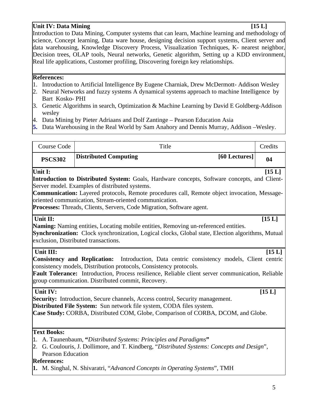# **Unit IV: Data Mining [15 L]** [15 L]

Introduction to Data Mining, Computer systems that can learn, Machine learning and methodology of science, Concept learning, Data ware house, designing decision support systems, Client server and data warehousing, Knowledge Discovery Process, Visualization Techniques, K- nearest neighbor, Decision trees, OLAP tools, Neural networks, Genetic algorithm, Setting up a KDD environment, Real life applications, Customer profiling, Discovering foreign key relationships.

### **References:**

- 1. Introduction to Artificial Intelligence By Eugene Charniak, Drew McDermott- Addison Wesley
- 2. Neural Networks and fuzzy systems A dynamical systems approach to machine Intelligence by Bart Kosko- PHI
- 3. Genetic Algorithms in search, Optimization & Machine Learning by David E Goldberg-Addison wesley
- 4. Data Mining by Pieter Adriaans and Dolf Zantinge Pearson Education Asia
- **5.** Data Warehousing in the Real World by Sam Anahory and Dennis Murray, Addison –Wesley.

| Course Code                                                   | Title                                                                                                                                                                                                                                                                                                                                                                                    | Credits  |
|---------------------------------------------------------------|------------------------------------------------------------------------------------------------------------------------------------------------------------------------------------------------------------------------------------------------------------------------------------------------------------------------------------------------------------------------------------------|----------|
| <b>PSCS302</b>                                                | [60 Lectures]<br><b>Distributed Computing</b>                                                                                                                                                                                                                                                                                                                                            | 04       |
| Unit I:                                                       | <b>Introduction to Distributed System:</b> Goals, Hardware concepts, Software concepts, and Client-<br>Server model. Examples of distributed systems.<br>Communication: Layered protocols, Remote procedures call, Remote object invocation, Message-<br>oriented communication, Stream-oriented communication.<br>Processes: Threads, Clients, Servers, Code Migration, Software agent. | [15L]    |
| Unit II:                                                      | <b>Naming:</b> Naming entities, Locating mobile entities, Removing un-referenced entities.<br>Synchronization: Clock synchronization, Logical clocks, Global state, Election algorithms, Mutual<br>exclusion, Distributed transactions.                                                                                                                                                  | [15L]    |
| Unit III:                                                     | <b>Consistency and Replication:</b><br>Introduction, Data centric consistency models, Client centric<br>consistency models, Distribution protocols, Consistency protocols.<br>Fault Tolerance: Introduction, Process resilience, Reliable client server communication, Reliable<br>group communication. Distributed commit, Recovery.                                                    | [15L]    |
| Unit IV:                                                      | <b>Security:</b> Introduction, Secure channels, Access control, Security management.<br>Distributed File System: Sun network file system, CODA files system.<br>Case Study: CORBA, Distributed COM, Globe, Comparison of CORBA, DCOM, and Globe.                                                                                                                                         | $[15 L]$ |
| <b>Text Books:</b><br>Pearson Education<br><b>References:</b> | 1. A. Taunenbaum, "Distributed Systems: Principles and Paradigms"<br>2. G. Coulouris, J. Dollimore, and T. Kindberg, "Distributed Systems: Concepts and Design",<br><b>1.</b> M. Singhal, N. Shivaratri, "Advanced Concepts in Operating Systems", TMH                                                                                                                                   |          |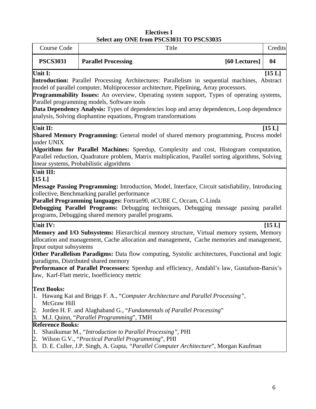# **Electives I Select any ONE from PSCS3031 TO PSCS3035**

|                                     |                                                                                                                                                                             | Select any ONE HOM FSCSSOST TO FSCSSOSS                                                                                                                                                                                                                                                                                                                                                     |         |
|-------------------------------------|-----------------------------------------------------------------------------------------------------------------------------------------------------------------------------|---------------------------------------------------------------------------------------------------------------------------------------------------------------------------------------------------------------------------------------------------------------------------------------------------------------------------------------------------------------------------------------------|---------|
| Course Code                         |                                                                                                                                                                             | Title                                                                                                                                                                                                                                                                                                                                                                                       | Credits |
| <b>PSCS3031</b>                     | <b>Parallel Processing</b>                                                                                                                                                  | [60 Lectures]                                                                                                                                                                                                                                                                                                                                                                               | 04      |
| Unit I:                             | Parallel programming models, Software tools<br>analysis, Solving diophantine equations, Program transformations                                                             | <b>Introduction:</b> Parallel Processing Architectures: Parallelism in sequential machines, Abstract<br>model of parallel computer, Multiprocessor architecture, Pipelining, Array processors.<br>Programmability Issues: An overview, Operating system support, Types of operating systems,<br>Data Dependency Analysis: Types of dependencies loop and array dependences, Loop dependence | [15L]   |
| Unit II:<br>under UNIX              | linear systems, Probabilistic algorithms                                                                                                                                    | <b>Shared Memory Programming:</b> General model of shared memory programming, Process model<br>Algorithms for Parallel Machines: Speedup, Complexity and cost, Histogram computation,<br>Parallel reduction, Quadrature problem, Matrix multiplication, Parallel sorting algorithms, Solving                                                                                                | [15 L]  |
| Unit III:<br>[15 L]                 | collective, Benchmarking parallel performance<br>Parallel Programming languages: Fortran90, nCUBE C, Occam, C-Linda<br>programs, Debugging shared memory parallel programs. | Message Passing Programming: Introduction, Model, Interface, Circuit satisfiability, Introducing<br>Debugging Parallel Programs: Debugging techniques, Debugging message passing parallel                                                                                                                                                                                                   |         |
| Unit IV:<br>Input output subsystems | paradigms, Distributed shared memory<br>law, Karf-Flatt metric, Isoefficiency metric                                                                                        | Memory and I/O Subsystems: Hierarchical memory structure, Virtual memory system, Memory<br>allocation and management, Cache allocation and management, Cache memories and management,<br>Other Parallelism Paradigms: Data flow computing, Systolic architectures, Functional and logic<br>Performance of Parallel Processors: Speedup and efficiency, Amdahl's law, Gustafson-Barsis's     | [15 L]  |
| <b>Text Books:</b><br>McGraw Hill   | 2. Jorden H. F. and Alaghaband G., "Fundamentals of Parallel Processing"<br>3. M.J. Quinn, "Parallel Programming", TMH                                                      | 1. Hawang Kai and Briggs F. A., "Computer Architecture and Parallel Processing",                                                                                                                                                                                                                                                                                                            |         |
| <b>Reference Books:</b><br>1.       | Shasikumar M., "Introduction to Parallel Processing", PHI<br>2. Wilson G.V., "Practical Parallel Programming", PHI                                                          | 3. D. E. Culler, J.P. Singh, A. Gupta, "Parallel Computer Architecture", Morgan Kaufman                                                                                                                                                                                                                                                                                                     |         |
|                                     |                                                                                                                                                                             |                                                                                                                                                                                                                                                                                                                                                                                             |         |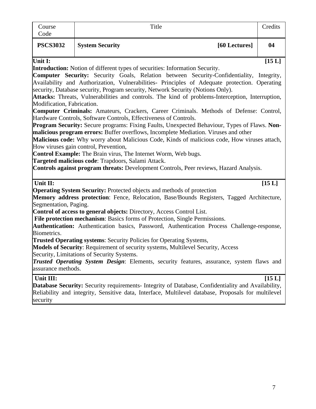| Course<br>Code             | Title                                                                                                                                                                      | Credits  |
|----------------------------|----------------------------------------------------------------------------------------------------------------------------------------------------------------------------|----------|
| <b>PSCS3032</b>            | <b>System Security</b><br>[60 Lectures]                                                                                                                                    | 04       |
| Unit I:                    |                                                                                                                                                                            | [15L]    |
|                            | <b>Introduction:</b> Notion of different types of securities: Information Security.                                                                                        |          |
|                            | <b>Computer Security:</b> Security Goals, Relation between Security-Confidentiality, Integrity,                                                                            |          |
|                            | Availability and Authorization, Vulnerabilities- Principles of Adequate protection. Operating                                                                              |          |
|                            | security, Database security, Program security, Network Security (Notions Only).                                                                                            |          |
|                            | Attacks: Threats, Vulnerabilities and controls. The kind of problems-Interception, Interruption,                                                                           |          |
| Modification, Fabrication. | Computer Criminals: Amateurs, Crackers, Career Criminals. Methods of Defense: Control,                                                                                     |          |
|                            | Hardware Controls, Software Controls, Effectiveness of Controls.                                                                                                           |          |
|                            | <b>Program Security:</b> Secure programs: Fixing Faults, Unexpected Behaviour, Types of Flaws. Non-                                                                        |          |
|                            | malicious program errors: Buffer overflows, Incomplete Mediation. Viruses and other                                                                                        |          |
|                            | Malicious code: Why worry about Malicious Code, Kinds of malicious code, How viruses attach,                                                                               |          |
|                            | How viruses gain control, Prevention,                                                                                                                                      |          |
|                            | Control Example: The Brain virus, The Internet Worm, Web bugs.                                                                                                             |          |
|                            | Targeted malicious code: Trapdoors, Salami Attack.                                                                                                                         |          |
|                            | <b>Controls against program threats:</b> Development Controls, Peer reviews, Hazard Analysis.                                                                              |          |
|                            |                                                                                                                                                                            |          |
| Unit II:                   |                                                                                                                                                                            | $[15 L]$ |
|                            | <b>Operating System Security:</b> Protected objects and methods of protection<br>Memory address protection: Fence, Relocation, Base/Bounds Registers, Tagged Architecture, |          |
| Segmentation, Paging.      |                                                                                                                                                                            |          |
|                            | Control of access to general objects: Directory, Access Control List.                                                                                                      |          |
|                            |                                                                                                                                                                            |          |
|                            |                                                                                                                                                                            |          |
|                            | File protection mechanism: Basics forms of Protection, Single Permissions.                                                                                                 |          |
| Biometrics.                | Authentication: Authentication basics, Password, Authentication Process Challenge-response,                                                                                |          |
|                            | <b>Trusted Operating systems:</b> Security Policies for Operating Systems,                                                                                                 |          |
|                            |                                                                                                                                                                            |          |
|                            | Models of Security: Requirement of security systems, Multilevel Security, Access<br>Security, Limitations of Security Systems.                                             |          |
|                            | Trusted Operating System Design: Elements, security features, assurance, system flaws and                                                                                  |          |
| assurance methods.         |                                                                                                                                                                            |          |
| Unit III:                  |                                                                                                                                                                            | [15 L]   |
|                            | <b>Database Security:</b> Security requirements- Integrity of Database, Confidentiality and Availability,                                                                  |          |
|                            | Reliability and integrity, Sensitive data, Interface, Multilevel database, Proposals for multilevel                                                                        |          |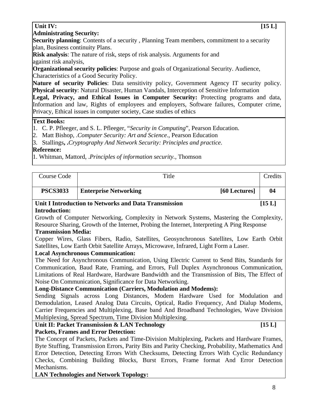8

# Unit IV: [15 L]

### **Administrating Security:**

**Security planning**: Contents of a security, Planning Team members, commitment to a security plan, Business continuity Plans.

**Risk analysis**: The nature of risk, steps of risk analysis. Arguments for and against risk analysis,

**Organizational security policies**: Purpose and goals of Organizational Security. Audience, Characteristics of a Good Security Policy.

**Nature of security Policies**: Data sensitivity policy, Government Agency IT security policy. **Physical security**: Natural Disaster, Human Vandals, Interception of Sensitive Information

Legal, Privacy, and Ethical Issues in Computer Security: Protecting programs and data, Information and law, Rights of employees and employers, Software failures, Computer crime, Privacy, Ethical issues in computer society, Case studies of ethics

### **Text Books:**

- 1. C. P. Pfleeger, and S. L. Pfleeger, "*Security in Computing*", Pearson Education.
- 2. Matt Bishop, .*Computer Security: Art and Science*., Pearson Education

3. Stallings**, .***Cryptography And Network Security: Principles and practice*.

# **Reference:**

1. Whitman, Mattord, .*Principles of information security.,* Thomson

| Course Code                |                                                                                                | Title |               | Credits |
|----------------------------|------------------------------------------------------------------------------------------------|-------|---------------|---------|
| <b>PSCS3033</b>            | <b>Enterprise Networking</b>                                                                   |       | [60 Lectures] | 04      |
|                            | Unit I Introduction to Networks and Data Transmission                                          |       |               | [15 L]  |
| <b>Introduction:</b>       |                                                                                                |       |               |         |
|                            | Growth of Computer Networking, Complexity in Network Systems, Mastering the Complexity,        |       |               |         |
|                            | Resource Sharing, Growth of the Internet, Probing the Internet, Interpreting A Ping Response   |       |               |         |
| <b>Transmission Media:</b> |                                                                                                |       |               |         |
|                            | Copper Wires, Glass Fibers, Radio, Satellites, Geosynchronous Satellites, Low Earth Orbit      |       |               |         |
|                            | Satellites, Low Earth Orbit Satellite Arrays, Microwave, Infrared, Light Form a Laser.         |       |               |         |
|                            | <b>Local Asynchronous Communication:</b>                                                       |       |               |         |
|                            | The Need for Asynchronous Communication, Using Electric Current to Send Bits, Standards for    |       |               |         |
|                            | Communication, Baud Rate, Framing, and Errors, Full Duplex Asynchronous Communication,         |       |               |         |
|                            | Limitations of Real Hardware, Hardware Bandwidth and the Transmission of Bits, The Effect of   |       |               |         |
|                            | Noise On Communication, Significance for Data Networking.                                      |       |               |         |
|                            | <b>Long-Distance Communication (Carriers, Modulation and Modems):</b>                          |       |               |         |
|                            | Sending Signals across Long Distances, Modem Hardware Used for Modulation and                  |       |               |         |
|                            | Demodulation, Leased Analog Data Circuits, Optical, Radio Frequency, And Dialup Modems,        |       |               |         |
|                            | Carrier Frequencies and Multiplexing, Base band And Broadband Technologies, Wave Division      |       |               |         |
|                            | Multiplexing, Spread Spectrum, Time Division Multiplexing.                                     |       |               |         |
|                            | Unit II: Packet Transmission & LAN Technology                                                  |       |               | [15L]   |
|                            | <b>Packets, Frames and Error Detection:</b>                                                    |       |               |         |
|                            | The Concept of Packets, Packets and Time-Division Multiplexing, Packets and Hardware Frames,   |       |               |         |
|                            | Ryta Stuffing Transmission Errors, Darity Rits and Darity Chacking Drobability Mathematics And |       |               |         |

Byte Stuffing, Transmission Errors, Parity Bits and Parity Checking, Probability, Mathematics And Error Detection, Detecting Errors With Checksums, Detecting Errors With Cyclic Redundancy Checks, Combining Building Blocks, Burst Errors, Frame format And Error Detection Mechanisms.

**LAN Technologies and Network Topology:**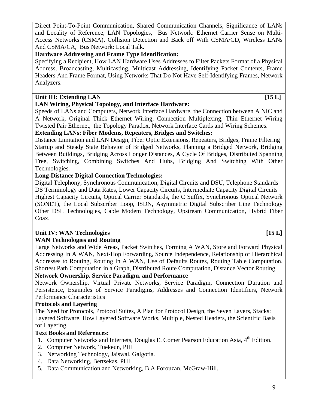Direct Point-To-Point Communication, Shared Communication Channels, Significance of LANs and Locality of Reference, LAN Topologies, Bus Network: Ethernet Carrier Sense on Multi-Access Networks (CSMA), Collision Detection and Back off With CSMA/CD, Wireless LANs And CSMA/CA, Bus Network: Local Talk.

# **Hardware Addressing and Frame Type Identification:**

Specifying a Recipient, How LAN Hardware Uses Addresses to Filter Packets Format of a Physical Address, Broadcasting, Multicasting, Multicast Addressing, Identifying Packet Contents, Frame Headers And Frame Format, Using Networks That Do Not Have Self-Identifying Frames, Network Analyzers.

# Unit III: Extending LAN [15 L]

# **LAN Wiring, Physical Topology, and Interface Hardware:**

Speeds of LANs and Computers, Network Interface Hardware, the Connection between A NIC and A Network, Original Thick Ethernet Wiring, Connection Multiplexing, Thin Ethernet Wiring Twisted Pair Ethernet, the Topology Paradox, Network Interface Cards and Wiring Schemes.

# **Extending LANs: Fiber Modems, Repeaters, Bridges and Switches:**

Distance Limitation and LAN Design, Fiber Optic Extensions, Repeaters, Bridges, Frame Filtering Startup and Steady State Behavior of Bridged Networks, Planning a Bridged Network, Bridging Between Buildings, Bridging Across Longer Distances, A Cycle Of Bridges, Distributed Spanning Tree, Switching, Combining Switches And Hubs, Bridging And Switching With Other Technologies.

# **Long-Distance Digital Connection Technologies:**

Digital Telephony, Synchronous Communication, Digital Circuits and DSU, Telephone Standards DS Terminology and Data Rates, Lower Capacity Circuits, Intermediate Capacity Digital Circuits Highest Capacity Circuits, Optical Carrier Standards, the C Suffix, Synchronous Optical Network (SONET), the Local Subscriber Loop, ISDN, Asymmetric Digital Subscriber Line Technology Other DSL Technologies, Cable Modem Technology, Upstream Communication, Hybrid Fiber Coax.

# Unit IV: WAN Technologies [15 L]

# **WAN Technologies and Routing**

Large Networks and Wide Areas, Packet Switches, Forming A WAN, Store and Forward Physical Addressing In A WAN, Next-Hop Forwarding, Source Independence, Relationship of Hierarchical Addresses to Routing, Routing In A WAN, Use of Defaults Routes, Routing Table Computation, Shortest Path Computation in a Graph, Distributed Route Computation, Distance Vector Routing

# **Network Ownership, Service Paradigm, and Performance**

Network Ownership, Virtual Private Networks, Service Paradigm, Connection Duration and Persistence, Examples of Service Paradigms, Addresses and Connection Identifiers, Network Performance Characteristics

# **Protocols and Layering**

The Need for Protocols, Protocol Suites, A Plan for Protocol Design, the Seven Layers, Stacks: Layered Software, How Layered Software Works, Multiple, Nested Headers, the Scientific Basis for Layering,

# **Text Books and References:**

- 1. Computer Networks and Internets, Douglas E. Comer Pearson Education Asia, 4<sup>th</sup> Edition.
- 2. Computer Network, Tuekeun, PHI
- 3. Networking Technology, Jaiswal, Galgotia.
- 4. Data Networking, Bertsekas, PHI
- 5. Data Communication and Networking, B.A Forouzan, McGraw-Hill.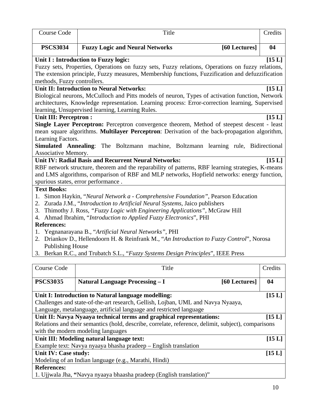| <b>Course Code</b>                                                                                  | Title                                                                                             | Credits |  |  |  |
|-----------------------------------------------------------------------------------------------------|---------------------------------------------------------------------------------------------------|---------|--|--|--|
| <b>PSCS3034</b>                                                                                     | <b>Fuzzy Logic and Neural Networks</b><br>[60 Lectures]                                           | 04      |  |  |  |
|                                                                                                     | Unit I : Introduction to Fuzzy logic:                                                             | [15L]   |  |  |  |
|                                                                                                     | Fuzzy sets, Properties, Operations on fuzzy sets, Fuzzy relations, Operations on fuzzy relations, |         |  |  |  |
|                                                                                                     | The extension principle, Fuzzy measures, Membership functions, Fuzzification and defuzzification  |         |  |  |  |
| methods, Fuzzy controllers.                                                                         |                                                                                                   |         |  |  |  |
|                                                                                                     | <b>Unit II: Introduction to Neural Networks:</b>                                                  | [15L]   |  |  |  |
|                                                                                                     | Biological neurons, McCulloch and Pitts models of neuron, Types of activation function, Network   |         |  |  |  |
|                                                                                                     | architectures, Knowledge representation. Learning process: Error-correction learning, Supervised  |         |  |  |  |
|                                                                                                     | learning, Unsupervised learning, Learning Rules.                                                  |         |  |  |  |
| <b>Unit III: Perceptron:</b>                                                                        |                                                                                                   | [15L]   |  |  |  |
|                                                                                                     | Single Layer Perceptron: Perceptron convergence theorem, Method of steepest descent - least       |         |  |  |  |
|                                                                                                     | mean square algorithms. Multilayer Perceptron: Derivation of the back-propagation algorithm,      |         |  |  |  |
| Learning Factors.                                                                                   |                                                                                                   |         |  |  |  |
| Associative Memory.                                                                                 | Simulated Annealing: The Boltzmann machine, Boltzmann learning rule, Bidirectional                |         |  |  |  |
|                                                                                                     | <b>Unit IV: Radial Basis and Recurrent Neural Networks:</b>                                       | [15 L]  |  |  |  |
|                                                                                                     | RBF network structure, theorem and the reparability of patterns, RBF learning strategies, K-means |         |  |  |  |
|                                                                                                     | and LMS algorithms, comparison of RBF and MLP networks, Hopfield networks: energy function,       |         |  |  |  |
|                                                                                                     | spurious states, error performance.                                                               |         |  |  |  |
| <b>Text Books:</b>                                                                                  |                                                                                                   |         |  |  |  |
| 1.                                                                                                  | Simon Haykin, "Neural Network a - Comprehensive Foundation", Pearson Education                    |         |  |  |  |
| 2.                                                                                                  | Zurada J.M., "Introduction to Artificial Neural Systems, Jaico publishers                         |         |  |  |  |
| 3.                                                                                                  | Thimothy J. Ross, "Fuzzy Logic with Engineering Applications", McGraw Hill                        |         |  |  |  |
| 4.                                                                                                  | Ahmad Ibrahim, "Introduction to Applied Fuzzy Electronics", PHI                                   |         |  |  |  |
| <b>References:</b>                                                                                  |                                                                                                   |         |  |  |  |
| 1.                                                                                                  | Yegnanarayana B., "Artificial Neural Networks", PHI                                               |         |  |  |  |
|                                                                                                     | 2. Driankov D., Hellendoorn H. & Reinfrank M., "An Introduction to Fuzzy Control", Norosa         |         |  |  |  |
| <b>Publishing House</b>                                                                             |                                                                                                   |         |  |  |  |
|                                                                                                     | 3. Berkan R.C., and Trubatch S.L., "Fuzzy Systems Design Principles", IEEE Press                  |         |  |  |  |
|                                                                                                     |                                                                                                   |         |  |  |  |
| Course Code                                                                                         | Title                                                                                             | Credits |  |  |  |
| <b>PSCS3035</b>                                                                                     | <b>Natural Language Processing - I</b><br>[60 Lectures]                                           | 04      |  |  |  |
|                                                                                                     | Unit I: Introduction to Natural language modelling:                                               | [15L]   |  |  |  |
|                                                                                                     | Challenges and state-of-the-art research, Gellish, Lojban, UML and Navya Nyaaya,                  |         |  |  |  |
|                                                                                                     | Language, metalanguage, artificial language and restricted language                               |         |  |  |  |
|                                                                                                     | Unit II: Navya Nyaaya technical terms and graphical representations:                              | [15L]   |  |  |  |
| Relations and their semantics (hold, describe, correlate, reference, delimit, subject), comparisons |                                                                                                   |         |  |  |  |
|                                                                                                     | with the modern modeling languages                                                                |         |  |  |  |
|                                                                                                     | Unit III: Modeling natural language text:                                                         | [15 L]  |  |  |  |
|                                                                                                     | Example text: Navya nyaaya bhasha pradeep – English translation                                   |         |  |  |  |
| Unit IV: Case study:                                                                                |                                                                                                   | [15 L]  |  |  |  |
|                                                                                                     | Modeling of an Indian language (e.g., Marathi, Hindi)                                             |         |  |  |  |

# **References:**

1. Ujjwala Jha, **"**Navya nyaaya bhaasha pradeep (English translation)"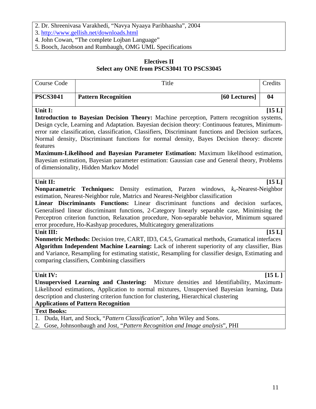- 2. Dr. Shreenivasa Varakhedi, "Navya Nyaaya Paribhaasha", 2004
- 3. http://www.gellish.net/downloads.html
- 4. John Cowan, "The complete Lojban Language"
- 5. Booch, Jacobson and Rumbaugh, OMG UML Specifications

# **Electives II Select any ONE from PSCS3041 TO PSCS3045**

| Course Code                    | Title                                                                                                                                                                                                                                                                                                                                                                                                                                                                                                                                                                                                                                                                                                                                                                                                                                                                                                | Credits                     |
|--------------------------------|------------------------------------------------------------------------------------------------------------------------------------------------------------------------------------------------------------------------------------------------------------------------------------------------------------------------------------------------------------------------------------------------------------------------------------------------------------------------------------------------------------------------------------------------------------------------------------------------------------------------------------------------------------------------------------------------------------------------------------------------------------------------------------------------------------------------------------------------------------------------------------------------------|-----------------------------|
| <b>PSCS3041</b>                | [60 Lectures]<br><b>Pattern Recognition</b>                                                                                                                                                                                                                                                                                                                                                                                                                                                                                                                                                                                                                                                                                                                                                                                                                                                          | 04                          |
| Unit I:<br>features            | Introduction to Bayesian Decision Theory: Machine perception, Pattern recognition systems,<br>Design cycle, Learning and Adaptation. Bayesian decision theory: Continuous features, Minimum-<br>error rate classification, classification, Classifiers, Discriminant functions and Decision surfaces,<br>Normal density, Discriminant functions for normal density, Bayes Decision theory: discrete<br>Maximum-Likelihood and Bayesian Parameter Estimation: Maximum likelihood estimation,<br>Bayesian estimation, Bayesian parameter estimation: Gaussian case and General theory, Problems<br>of dimensionality, Hidden Markov Model                                                                                                                                                                                                                                                              | [15L]                       |
| Unit II:<br>Unit III:          | <b>Nonparametric Techniques:</b> Density estimation, Parzen windows, $k_n$ -Nearest-Neighbor<br>estimation, Nearest-Neighbor rule, Matrics and Nearest-Neighbor classification<br>Linear Discriminants Functions: Linear discriminant functions and decision<br>Generalised linear discriminant functions, 2-Category linearly separable case, Minimising the<br>Perceptron criterion function, Relaxation procedure, Non-separable behavior, Minimum squared<br>error procedure, Ho-Kashyap procedures, Multicategory generalizations<br><b>Nonmetric Methods:</b> Decision tree, CART, ID3, C4.5, Gramatical methods, Gramatical interfaces<br>Algorithm Independent Machine Learning: Lack of inherent superiority of any classifier, Bias<br>and Variance, Resampling for estimating statistic, Resampling for classifier design, Estimating and<br>comparing classifiers, Combining classifiers | [15L]<br>surfaces,<br>[15L] |
| Unit IV:<br><b>Text Books:</b> | <b>Unsupervised Learning and Clustering:</b><br>Mixture densities and Identifiability, Maximum-<br>Likelihood estimations, Application to normal mixtures, Unsupervised Bayesian learning, Data<br>description and clustering criterion function for clustering, Hierarchical clustering<br><b>Applications of Pattern Recognition</b><br>1. Duda, Hart, and Stock, "Pattern Classification", John Wiley and Sons.                                                                                                                                                                                                                                                                                                                                                                                                                                                                                   | [15L]                       |
|                                | 2. Gose, Johnsonbaugh and Jost, "Pattern Recognition and Image analysis", PHI                                                                                                                                                                                                                                                                                                                                                                                                                                                                                                                                                                                                                                                                                                                                                                                                                        |                             |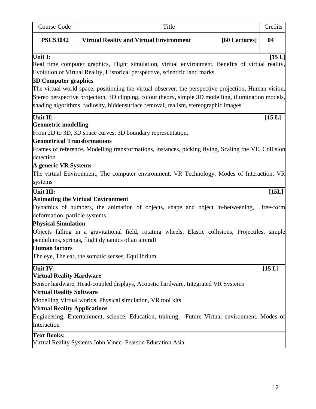| Course Code                                                 | Title                                                                                                                                                                                                                                                                                               | Credits   |
|-------------------------------------------------------------|-----------------------------------------------------------------------------------------------------------------------------------------------------------------------------------------------------------------------------------------------------------------------------------------------------|-----------|
| <b>PSCS3042</b>                                             | <b>Virtual Reality and Virtual Environment</b><br>[60 Lectures]                                                                                                                                                                                                                                     | 04        |
| Unit I:<br><b>3D Computer graphics</b>                      | Real time computer graphics, Flight simulation, virtual environment, Benefits of virtual reality,<br>Evolution of Virtual Reality, Historical perspective, scientific land marks                                                                                                                    | [15L]     |
|                                                             | The virtual world space, positioning the virtual observer, the perspective projection, Human vision,<br>Stereo perspective projection, 3D clipping, colour theory, simple 3D modelling, illumination models,<br>shading algorithms, radiosity, hiddensurface removal, realism, stereographic images |           |
| Unit II:                                                    |                                                                                                                                                                                                                                                                                                     | [15 L]    |
| <b>Geometric modelling</b>                                  |                                                                                                                                                                                                                                                                                                     |           |
| <b>Geometrical Transformations</b>                          | From 2D to 3D, 3D space curves, 3D boundary representation,                                                                                                                                                                                                                                         |           |
| detection                                                   | Frames of reference, Modelling transformations, instances, picking flying, Scaling the VE, Collision                                                                                                                                                                                                |           |
| A generic VR Systems                                        |                                                                                                                                                                                                                                                                                                     |           |
|                                                             | The virtual Environment, The computer environment, VR Technology, Modes of Interaction, VR                                                                                                                                                                                                          |           |
| systems                                                     |                                                                                                                                                                                                                                                                                                     |           |
| Unit III:                                                   |                                                                                                                                                                                                                                                                                                     | [15L]     |
|                                                             | <b>Animating the Virtual Environment</b>                                                                                                                                                                                                                                                            |           |
|                                                             | Dynamics of numbers, the animation of objects, shape and object in-betweening,                                                                                                                                                                                                                      | free-form |
| deformation, particle systems<br><b>Physical Simulation</b> |                                                                                                                                                                                                                                                                                                     |           |
|                                                             | Objects falling in a gravitational field, rotating wheels, Elastic collisions, Projectiles, simple                                                                                                                                                                                                  |           |
|                                                             | pendulums, springs, flight dynamics of an aircraft                                                                                                                                                                                                                                                  |           |
| <b>Human</b> factors                                        |                                                                                                                                                                                                                                                                                                     |           |
|                                                             | The eye, The ear, the somatic senses, Equilibrium                                                                                                                                                                                                                                                   |           |
| Unit IV:                                                    |                                                                                                                                                                                                                                                                                                     | $[15 L]$  |
| <b>Virtual Reality Hardware</b>                             |                                                                                                                                                                                                                                                                                                     |           |
|                                                             | Sensor hardware, Head-coupled displays, Acoustic hardware, Integrated VR Systems                                                                                                                                                                                                                    |           |
| <b>Virtual Reality Software</b>                             |                                                                                                                                                                                                                                                                                                     |           |
|                                                             | Modelling Virtual worlds, Physical simulation, VR tool kits                                                                                                                                                                                                                                         |           |
| <b>Virtual Reality Applications</b>                         |                                                                                                                                                                                                                                                                                                     |           |
| Interaction                                                 | Engineering, Entertainment, science, Education, training, Future Virtual environment, Modes of                                                                                                                                                                                                      |           |
|                                                             |                                                                                                                                                                                                                                                                                                     |           |
| <b>Text Books:</b>                                          | Virtual Reality Systems John Vince- Pearson Education Asia                                                                                                                                                                                                                                          |           |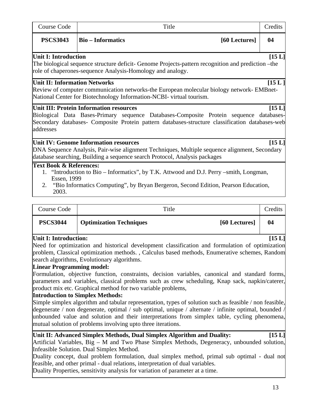| <b>Course Code</b>                                         | Title                                                                                                                                                                                                                                       | Credits |
|------------------------------------------------------------|---------------------------------------------------------------------------------------------------------------------------------------------------------------------------------------------------------------------------------------------|---------|
| <b>PSCS3043</b>                                            | <b>Bio-Informatics</b><br>[60 Lectures]                                                                                                                                                                                                     | 04      |
| <b>Unit I: Introduction</b>                                | The biological sequence structure deficit- Genome Projects-pattern recognition and prediction – the<br>role of chaperones-sequence Analysis-Homology and analogy.                                                                           | [15L]   |
| <b>Unit II: Information Networks</b>                       | Review of computer communication networks-the European molecular biology network- EMBnet-<br>National Center for Biotechnology Information-NCBI- virtual tourism.                                                                           | [15L]   |
| addresses                                                  | <b>Unit III: Protein Information resources</b><br>Biological Data Bases-Primary sequence Databases-Composite Protein sequence databases-<br>Secondary databases- Composite Protein pattern databases-structure classification databases-web | [15 L]  |
|                                                            | <b>Unit IV: Genome Information resources</b><br>DNA Sequence Analysis, Pair-wise alignment Techniques, Multiple sequence alignment, Secondary<br>database searching, Building a sequence search Protocol, Analysis packages                 | [15L]   |
| <b>Text Book &amp; References:</b><br>Essen, 1999<br>2003. | 1. "Introduction to Bio – Informatics", by T.K. Attwood and D.J. Perry –smith, Longman,<br>2. "Bio Informatics Computing", by Bryan Bergeron, Second Edition, Pearson Education,                                                            |         |
| <b>Course Code</b>                                         | Title                                                                                                                                                                                                                                       | Credits |
| <b>PSCS3044</b>                                            | <b>Optimization Techniques</b><br>[60 Lectures]                                                                                                                                                                                             | 04      |

# **Unit I: Introduction: [15 L]**

Need for optimization and historical development classification and formulation of optimization problem, Classical optimization methods. , Calculus based methods, Enumerative schemes, Random search algorithms, Evolutionary algorithms.

# **Linear Programming model:**

Formulation, objective function, constraints, decision variables, canonical and standard forms, parameters and variables, classical problems such as crew scheduling, Knap sack, napkin/caterer, product mix etc. Graphical method for two variable problems,

# **Introduction to Simplex Methods:**

Simple simplex algorithm and tabular representation, types of solution such as feasible / non feasible, degenerate / non degenerate, optimal / sub optimal, unique / alternate / infinite optimal, bounded / unbounded value and solution and their interpretations from simplex table, cycling phenomena, mutual solution of problems involving upto three iterations.

| Unit II: Advanced Simplex Methods, Dual Simplex Algorithm and Duality:                                                                     | [15L] |
|--------------------------------------------------------------------------------------------------------------------------------------------|-------|
| Artificial Variables, Big – M and Two Phase Simplex Methods, Degeneracy, unbounded solution,                                               |       |
|                                                                                                                                            |       |
|                                                                                                                                            |       |
| Infeasible Solution. Dual Simplex Method.<br>Duality concept, dual problem formulation, dual simplex method, primal sub optimal - dual not |       |

feasible, and other primal - dual relations, interpretation of dual variables.

Duality Properties, sensitivity analysis for variation of parameter at a time.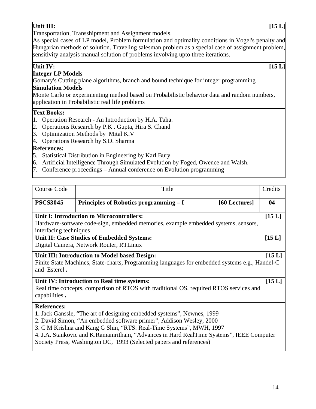# **Unit III:** [15 L]

Transportation, Transshipment and Assignment models.

As special cases of LP model, Problem formulation and optimality conditions in Vogel's penalty and Hungarian methods of solution. Traveling salesman problem as a special case of assignment problem, sensitivity analysis manual solution of problems involving upto three iterations.

# Unit IV: [15 L]

# **Integer LP Models**

Gomary's Cutting plane algorithms, branch and bound technique for integer programming **Simulation Models**

Monte Carlo or experimenting method based on Probabilistic behavior data and random numbers, application in Probabilistic real life problems

# **Text Books:**

- 1. Operation Research An Introduction by H.A. Taha.
- 2. Operations Research by P.K . Gupta, Hira S. Chand
- 3. Optimization Methods by Mital K.V
- 4. Operations Research by S.D. Sharma

# **References:**

- 5. Statistical Distribution in Engineering by Karl Bury.
- 6. Artificial Intelligence Through Simulated Evolution by Foged, Owence and Walsh.
- 7. Conference proceedings Annual conference on Evolution programming

| Course Code            | Title                                                                                                                                                                                                                                                                                                                                                                                                   |               | Credits |
|------------------------|---------------------------------------------------------------------------------------------------------------------------------------------------------------------------------------------------------------------------------------------------------------------------------------------------------------------------------------------------------------------------------------------------------|---------------|---------|
| <b>PSCS3045</b>        | Principles of Robotics programming – I                                                                                                                                                                                                                                                                                                                                                                  | [60 Lectures] | 04      |
|                        | <b>Unit I: Introduction to Microcontrollers:</b>                                                                                                                                                                                                                                                                                                                                                        |               | [15L]   |
| interfacing techniques | Hardware-software code-sign, embedded memories, example embedded systems, sensors,                                                                                                                                                                                                                                                                                                                      |               |         |
|                        | Unit II: Case Studies of Embedded Systems:<br>Digital Camera, Network Router, RTLinux                                                                                                                                                                                                                                                                                                                   |               | [15L]   |
| and Esterel.           | Unit III: Introduction to Model based Design:<br>Finite State Machines, State-charts, Programming languages for embedded systems e.g., Handel-C                                                                                                                                                                                                                                                         |               | [15 L]  |
| capabilities.          | Unit IV: Introduction to Real time systems:<br>Real time concepts, comparison of RTOS with traditional OS, required RTOS services and                                                                                                                                                                                                                                                                   |               | [15 L]  |
| <b>References:</b>     | 1. Jack Ganssle, "The art of designing embedded systems", Newnes, 1999<br>2. David Simon, "An embedded software primer", Addison Wesley, 2000<br>3. C M Krishna and Kang G Shin, "RTS: Real-Time Systems", MWH, 1997<br>4. J.A. Stankovic and K.Ramamritham, "Advances in Hard RealTime Systems", IEEE Computer<br>$\mathbb{C}$ of the During Western DO $(0.1, 1.1)$ and $(0.1, 1.1)$ and $(0.1, 1.1)$ |               |         |

Society Press, Washington DC, 1993 (Selected papers and references)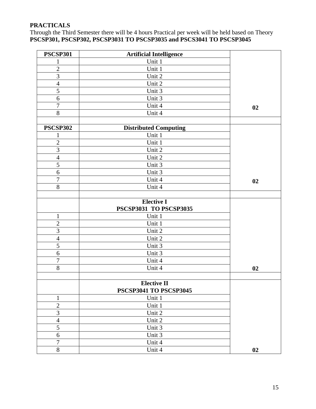# **PRACTICALS**

Through the Third Semester there will be 4 hours Practical per week will be held based on Theory **PSCSP301, PSCSP302, PSCSP3031 TO PSCSP3035 and PSCS3041 TO PSCSP3045** 

| <b>PSCSP301</b>  | <b>Artificial Intelligence</b> |    |
|------------------|--------------------------------|----|
| $\mathbf{1}$     | Unit 1                         |    |
| $\overline{2}$   | Unit 1                         |    |
| $\overline{3}$   | Unit 2                         |    |
| $\overline{4}$   | Unit 2                         |    |
| 5                | Unit 3                         |    |
| 6                | Unit 3                         |    |
| $\boldsymbol{7}$ | Unit 4                         | 02 |
| $8\,$            | Unit 4                         |    |
|                  |                                |    |
| <b>PSCSP302</b>  | <b>Distributed Computing</b>   |    |
| $\mathbf{1}$     | Unit 1                         |    |
| $\overline{c}$   | Unit 1                         |    |
| $\overline{3}$   | Unit 2                         |    |
| $\overline{4}$   | Unit 2                         |    |
| 5                | Unit 3                         |    |
| 6                | Unit 3                         |    |
| $\boldsymbol{7}$ | Unit 4                         | 02 |
| $8\,$            | Unit 4                         |    |
|                  |                                |    |
|                  | <b>Elective I</b>              |    |
|                  | PSCSP3031 TO PSCSP3035         |    |
| $\mathbf{1}$     | Unit 1                         |    |
| $\overline{2}$   | Unit 1                         |    |
| $\overline{3}$   | Unit 2                         |    |
| $\overline{4}$   | Unit 2                         |    |
| 5                | Unit 3                         |    |
| 6                | Unit 3                         |    |
| $\overline{7}$   | Unit 4                         |    |
| $\overline{8}$   | Unit 4                         | 02 |
|                  |                                |    |
|                  | <b>Elective II</b>             |    |
|                  | <b>PSCSP3041 TO PSCSP3045</b>  |    |
| $\mathbf{1}$     | Unit 1                         |    |
| $\overline{2}$   | Unit 1                         |    |
| $\overline{3}$   | Unit 2                         |    |
| $\overline{4}$   | Unit 2                         |    |
| 5                | Unit 3                         |    |
| 6                | Unit 3                         |    |
| $\tau$           | Unit 4                         |    |
| $8\,$            | Unit 4                         | 02 |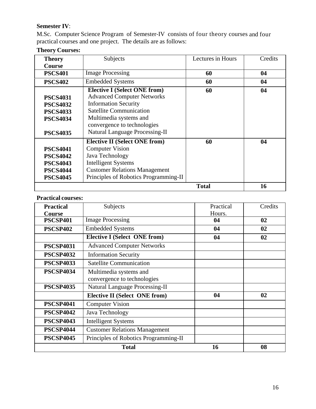# **Semester IV**:

M.Sc. Computer Science Program of Semester‐IV consists of four theory courses and four practical courses and one project. The details are as follows:

| <b>Theory</b>                                                                               | Subjects                                                                                                                                                                                                                                    | Lectures in Hours | Credits |
|---------------------------------------------------------------------------------------------|---------------------------------------------------------------------------------------------------------------------------------------------------------------------------------------------------------------------------------------------|-------------------|---------|
| <b>Course</b>                                                                               |                                                                                                                                                                                                                                             |                   |         |
| <b>PSCS401</b>                                                                              | <b>Image Processing</b>                                                                                                                                                                                                                     | 60                | 04      |
| <b>PSCS402</b>                                                                              | <b>Embedded Systems</b>                                                                                                                                                                                                                     | 60                | 04      |
| <b>PSCS4031</b><br><b>PSCS4032</b><br><b>PSCS4033</b><br><b>PSCS4034</b><br><b>PSCS4035</b> | <b>Elective I (Select ONE from)</b><br><b>Advanced Computer Networks</b><br><b>Information Security</b><br><b>Satellite Communication</b><br>Multimedia systems and<br>convergence to technologies<br><b>Natural Language Processing-II</b> | 60                | 04      |
| <b>PSCS4041</b><br><b>PSCS4042</b><br><b>PSCS4043</b><br><b>PSCS4044</b><br><b>PSCS4045</b> | <b>Elective II (Select ONE from)</b><br><b>Computer Vision</b><br>Java Technology<br><b>Intelligent Systems</b><br><b>Customer Relations Management</b><br>Principles of Robotics Programming-II                                            | 60                | 04      |
|                                                                                             |                                                                                                                                                                                                                                             | <b>Total</b>      | 16      |

# **Theory Courses:**

# **Practical courses:**

| <b>Practical</b> | Subjects                              | Practical | Credits |
|------------------|---------------------------------------|-----------|---------|
| <b>Course</b>    |                                       | Hours.    |         |
| <b>PSCSP401</b>  | <b>Image Processing</b>               | 04        | 02      |
| <b>PSCSP402</b>  | <b>Embedded Systems</b>               | 04        | 02      |
|                  | <b>Elective I (Select ONE from)</b>   | 04        | 02      |
| <b>PSCSP4031</b> | <b>Advanced Computer Networks</b>     |           |         |
| <b>PSCSP4032</b> | <b>Information Security</b>           |           |         |
| <b>PSCSP4033</b> | <b>Satellite Communication</b>        |           |         |
| <b>PSCSP4034</b> | Multimedia systems and                |           |         |
|                  | convergence to technologies           |           |         |
| <b>PSCSP4035</b> | <b>Natural Language Processing-II</b> |           |         |
|                  | <b>Elective II (Select ONE from)</b>  | 04        | 02      |
| <b>PSCSP4041</b> | <b>Computer Vision</b>                |           |         |
| <b>PSCSP4042</b> | Java Technology                       |           |         |
| <b>PSCSP4043</b> | <b>Intelligent Systems</b>            |           |         |
| <b>PSCSP4044</b> | <b>Customer Relations Management</b>  |           |         |
| <b>PSCSP4045</b> | Principles of Robotics Programming-II |           |         |
|                  | <b>Total</b>                          | 16        | 08      |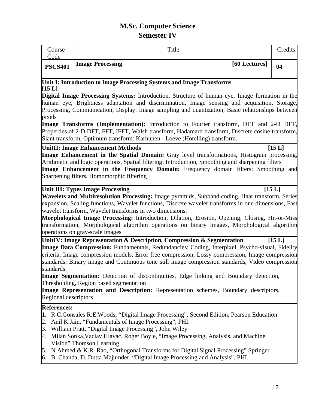# **M.Sc. Computer Science Semester IV**

| Course                             | Title                                                                                                                                                                                                                                                                                                                                                                                                                                                                                                                                                                                                         | Credits |
|------------------------------------|---------------------------------------------------------------------------------------------------------------------------------------------------------------------------------------------------------------------------------------------------------------------------------------------------------------------------------------------------------------------------------------------------------------------------------------------------------------------------------------------------------------------------------------------------------------------------------------------------------------|---------|
| Code<br><b>PSCS401</b>             | <b>Image Processing</b><br>[60 Lectures]                                                                                                                                                                                                                                                                                                                                                                                                                                                                                                                                                                      | 04      |
| [15 L]                             | Unit I: Introduction to Image Processing Systems and Image Transforms                                                                                                                                                                                                                                                                                                                                                                                                                                                                                                                                         |         |
| pixels                             | Digital Image Processing Systems: Introduction, Structure of human eye, Image formation in the<br>human eye, Brightness adaptation and discrimination, Image sensing and acquisition, Storage,<br>Processing, Communication, Display. Image sampling and quantization, Basic relationships between                                                                                                                                                                                                                                                                                                            |         |
|                                    | Image Transforms (Implementation): Introduction to Fourier transform, DFT and 2-D DFT,<br>Properties of 2-D DFT, FFT, IFFT, Walsh transform, Hadamard transform, Discrete cosine transform,<br>Slant transform, Optimum transform: Karhunen - Loeve (Hotelling) transform.                                                                                                                                                                                                                                                                                                                                    |         |
|                                    | <b>UnitII: Image Enhancement Methods</b><br>Image Enhancement in the Spatial Domain: Gray level transformations, Histogram processing,<br>Arithmetic and logic operations, Spatial filtering: Introduction, Smoothing and sharpening filters<br>Image Enhancement in the Frequency Domain: Frequency domain filters: Smoothing and<br>Sharpening filters, Homomorphic filtering                                                                                                                                                                                                                               | [15L]   |
|                                    | <b>Unit III: Types Image Processing</b><br>Wavelets and Multiresolution Processing: Image pyramids, Subband coding, Haar transform, Series<br>expansion, Scaling functions, Wavelet functions, Discrete wavelet transforms in one dimensions, Fast<br>wavelet transform, Wavelet transforms in two dimensions.<br>Morphological Image Processing: Introduction, Dilation, Erosion, Opening, Closing, Hit-or-Miss<br>transformation, Morphological algorithm operations on binary images, Morphological algorithm<br>operations on gray-scale images                                                           | [15 L]  |
| standards.<br>Regional descriptors | UnitIV: Image Representation & Description, Compression & Segmentation<br>Image Data Compression: Fundamentals, Redundancies: Coding, Interpixel, Psycho-visual, Fidelity<br>criteria, Image compression models, Error free compression, Lossy compression, Image compression<br>standards: Binary image and Continuous tone still image compression standards, Video compression<br>Image Segmentation: Detection of discontinuities, Edge linking and Boundary detection,<br>Thresholding, Region based segmentation<br>Image Representation and Description: Representation schemes, Boundary descriptors, | [15L]   |
| <b>References:</b>                 | 1. R.C.Gonsales R.E.Woods, "Digital Image Processing", Second Edition, Pearson Education<br>2. Anil K.Jain, "Fundamentals of Image Processing", PHI.<br>3. William Pratt, "Digital Image Processing", John Wiley<br>4. Milan Sonka, Vaclav Hlavac, Roger Boyle, "Image Processing, Analysis, and Machine<br>Vision" Thomson Learning.<br>5. N Ahmed & K.R. Rao, "Orthogonal Transforms for Digital Signal Processing" Springer.<br>6. B. Chanda, D. Dutta Majumder, "Digital Image Processing and Analysis", PHI.                                                                                             |         |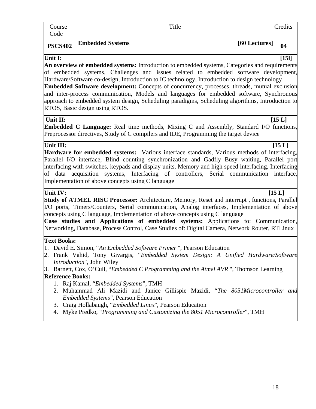| Course<br>Code |                         | Title |               | Credits |
|----------------|-------------------------|-------|---------------|---------|
| <b>PSCS402</b> | <b>Embedded Systems</b> |       | [60 Lectures] | 04      |

Unit I: [15] **An overview of embedded systems:** Introduction to embedded systems, Categories and requirements of embedded systems, Challenges and issues related to embedded software development, Hardware/Software co-design, Introduction to IC technology, Introduction to design technology **Embedded Software development:** Concepts of concurrency, processes, threads, mutual exclusion and inter-process communication, Models and languages for embedded software, Synchronous approach to embedded system design, Scheduling paradigms, Scheduling algorithms, Introduction to RTOS, Basic design using RTOS.

# Unit II: [15 L]

**Embedded C Language:** Real time methods, Mixing C and Assembly, Standard I/O functions, Preprocessor directives, Study of C compilers and IDE, Programming the target device

# **Unit III:** [15 L]

**Hardware for embedded systems:** Various interface standards, Various methods of interfacing, Parallel I/O interface, Blind counting synchronization and Gadfly Busy waiting, Parallel port interfacing with switches, keypads and display units, Memory and high speed interfacing, Interfacing of data acquisition systems, Interfacing of controllers, Serial communication interface, Implementation of above concepts using C language

# Unit IV: [15 L]

**Study of ATMEL RISC Processor:** Architecture, Memory, Reset and interrupt , functions, Parallel I/O ports, Timers/Counters, Serial communication, Analog interfaces, Implementation of above concepts using C language, Implementation of above concepts using C language

**Case studies and Applications of embedded systems:** Applications to: Communication, Networking, Database, Process Control, Case Studies of: Digital Camera, Network Router, RTLinux

# **Text Books:**

1. David E. Simon, "*An Embedded Software Primer* ", Pearson Education

- 2. Frank Vahid, Tony Givargis, "*Embedded System Design: A Unified Hardware/Software Introduction*", John Wiley
- 3. Barnett, Cox, O'Cull, "*Embedded C Programming and the Atmel AVR* ", Thomson Learning **Reference Books:** 
	- 1. Raj Kamal, "*Embedded Systems*", TMH
	- 2. Muhammad Ali Mazidi and Janice Gillispie Mazidi, "*The 8051Microcontroller and Embedded Systems",* Pearson Education
	- 3. Craig Hollabaugh, "*Embedded Linux*", Pearson Education
	- 4. Myke Predko, "*Programming and Customizing the 8051 Microcontroller*", TMH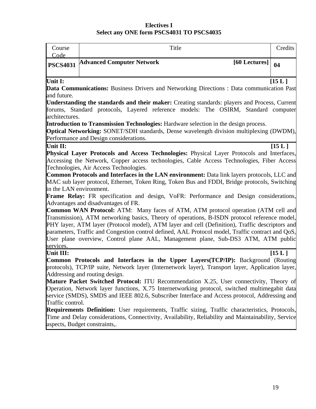# **Electives I Select any ONE form PSCS4031 TO PSCS4035**

| Course<br>Code          | Title                                                                                                                                                                                  | Credits |
|-------------------------|----------------------------------------------------------------------------------------------------------------------------------------------------------------------------------------|---------|
| <b>PSCS4031</b>         | <b>Advanced Computer Network</b><br>[60 Lectures]                                                                                                                                      | 04      |
| Unit I:                 | <b>Data Communications:</b> Business Drivers and Networking Directions : Data communication Past                                                                                       | [15L]   |
| and future.             |                                                                                                                                                                                        |         |
|                         | <b>Understanding the standards and their maker:</b> Creating standards: players and Process, Current                                                                                   |         |
| architectures.          | forums, Standard protocols, Layered reference models: The OSIRM, Standard computer                                                                                                     |         |
|                         | <b>Introduction to Transmission Technologies:</b> Hardware selection in the design process.                                                                                            |         |
|                         | <b>Optical Networking:</b> SONET/SDH standards, Dense wavelength division multiplexing (DWDM),                                                                                         |         |
|                         | Performance and Design considerations.                                                                                                                                                 |         |
| Unit II:                |                                                                                                                                                                                        | [15L]   |
|                         | Physical Layer Protocols and Access Technologies: Physical Layer Protocols and Interfaces,                                                                                             |         |
|                         | Accessing the Network, Copper access technologies, Cable Access Technologies, Fiber Access                                                                                             |         |
|                         | Technologies, Air Access Technologies.                                                                                                                                                 |         |
|                         | Common Protocols and Interfaces in the LAN environment: Data link layers protocols, LLC and                                                                                            |         |
|                         | MAC sub layer protocol, Ethernet, Token Ring, Token Bus and FDDI, Bridge protocols, Switching                                                                                          |         |
| in the LAN environment. |                                                                                                                                                                                        |         |
|                         | Frame Relay: FR specification and design, VoFR: Performance and Design considerations,                                                                                                 |         |
|                         | Advantages and disadvantages of FR.                                                                                                                                                    |         |
|                         | <b>Common WAN Protocol:</b> ATM: Many faces of ATM, ATM protocol operation (ATM cell and                                                                                               |         |
|                         | Transmission), ATM networking basics, Theory of operations, B-ISDN protocol reference model,                                                                                           |         |
|                         | PHY layer, ATM layer (Protocol model), ATM layer and cell (Definition), Traffic descriptors and                                                                                        |         |
|                         | parameters, Traffic and Congestion control defined, AAL Protocol model, Traffic contract and QoS,<br>User plane overview, Control plane AAL, Management plane, Sub-DS3 ATM, ATM public |         |
| services.               |                                                                                                                                                                                        |         |
| Unit III:               |                                                                                                                                                                                        | [15L]   |
|                         | <b>Common Protocols and Interfaces in the Upper Layers (TCP/IP):</b> Background (Routing                                                                                               |         |
|                         | protocols), TCP/IP suite, Network layer (Internetwork layer), Transport layer, Application layer,                                                                                      |         |
|                         | Addressing and routing design.                                                                                                                                                         |         |
|                         | <b>Mature Packet Switched Protocol:</b> ITU Recommendation X.25, User connectivity, Theory of                                                                                          |         |
|                         | Operation, Network layer functions, X.75 Internetworking protocol, switched multimegabit data                                                                                          |         |
|                         | service (SMDS), SMDS and IEEE 802.6, Subscriber Interface and Access protocol, Addressing and                                                                                          |         |
| Traffic control.        |                                                                                                                                                                                        |         |
|                         | <b>Requirements Definition:</b> User requirements, Traffic sizing, Traffic characteristics, Protocols,                                                                                 |         |
|                         | Time and Delay considerations, Connectivity, Availability, Reliability and Maintainability, Service                                                                                    |         |
|                         | aspects, Budget constraints,.                                                                                                                                                          |         |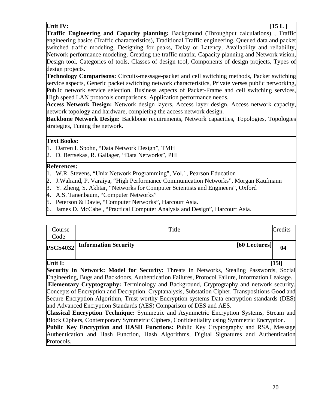# **Unit IV:** [15 L ]

**Traffic Engineering and Capacity planning:** Background (Throughput calculations) , Traffic engineering basics (Traffic characteristics), Traditional Traffic engineering, Queued data and packet switched traffic modeling, Designing for peaks, Delay or Latency, Availability and reliability, Network performance modeling, Creating the traffic matrix, Capacity planning and Network vision, Design tool, Categories of tools, Classes of design tool, Components of design projects, Types of design projects.

**Technology Comparisons:** Circuits-message-packet and cell switching methods, Packet switching service aspects, Generic packet switching network characteristics, Private verses public networking, Public network service selection, Business aspects of Packet-Frame and cell switching services, High speed LAN protocols comparisons, Application performance needs.

**Access Network Design:** Network design layers, Access layer design, Access network capacity, network topology and hardware, completing the access network design.

**Backbone Network Design:** Backbone requirements, Network capacities, Topologies, Topologies strategies, Tuning the network.

# **Text Books:**

- 1. Darren L Spohn, "Data Network Design", TMH
- 2. D. Bertsekas, R. Gallager, "Data Networks", PHI

### **References:**

- 1. W.R. Stevens, "Unix Network Programming", Vol.1, Pearson Education
- 2. J.Walrand, P. Varaiya, "High Performance Communication Networks", Morgan Kaufmann
- 3. Y. Zheng, S. Akhtar, "Networks for Computer Scientists and Engineers", Oxford
- 4. A.S. Tanenbaum, "Computer Networks"
- 5. Peterson & Davie, "Computer Networks", Harcourt Asia.
- 6. James D. McCabe , "Practical Computer Analysis and Design", Harcourt Asia.

| Course<br>Code  | Title                                 | Credits |
|-----------------|---------------------------------------|---------|
| <b>PSCS4032</b> | Information Security<br>[60 Lectures] | 04      |

Unit I: [15]

**Security in Network: Model for Security:** Threats in Networks, Stealing Passwords, Social Engineering, Bugs and Backdoors, Authentication Failures, Protocol Failure, Information Leakage. **Elementary Cryptography:** Terminology and Background, Cryptography and network security. Concepts of Encryption and Decryption. Cryptanalysis, Substation Cipher. Transpositions Good and Secure Encryption Algorithm, Trust worthy Encryption systems Data encryption standards (DES) and Advanced Encryption Standards (AES) Comparison of DES and AES.

**Classical Encryption Technique:** Symmetric and Asymmetric Encryption Systems, Stream and Block Ciphers, Contemporary Symmetric Ciphers, Confidentiality using Symmetric Encryption.

**Public Key Encryption and HASH Functions:** Public Key Cryptography and RSA, Message Authentication and Hash Function, Hash Algorithms, Digital Signatures and Authentication Protocols.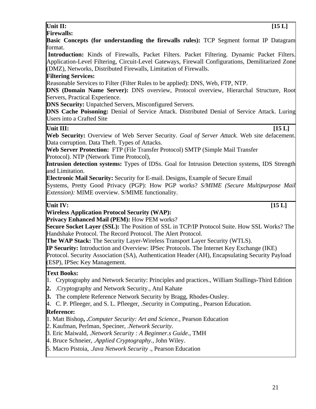# **Unit II:** [15 L]

**Firewalls: Basic Concepts (for understanding the firewalls rules):** TCP Segment format IP Datagram

format.  **Introduction:** Kinds of Firewalls, Packet Filters. Packet Filtering. Dynamic Packet Filters. Application-Level Filtering, Circuit-Level Gateways, Firewall Configurations, Demilitarized Zone

(DMZ), Networks, Distributed Firewalls, Limitation of Firewalls.

# **Filtering Services:**

Reasonable Services to Filter (Filter Rules to be applied): DNS, Web, FTP, NTP.

**DNS (Domain Name Server):** DNS overview, Protocol overview, Hierarchal Structure, Root Servers, Practical Experience.

**DNS Security:** Unpatched Servers, Misconfigured Servers.

**DNS Cache Poisoning:** Denial of Service Attack. Distributed Denial of Service Attack. Luring Users into a Crafted Site

# **Unit III:** [15 L]

**Web Security:** Overview of Web Server Security. *Goal of Server Attack*. Web site defacement. Data corruption. Data Theft. Types of Attacks.

**Web Server Protection:** FTP (File Transfer Protocol) SMTP (Simple Mail Transfer Protocol). NTP (Network Time Protocol),

**Intrusion detection systems:** Types of IDSs. Goal for Intrusion Detection systems, IDS Strength and Limitation.

**Electronic Mail Security:** Security for E-mail. Designs, Example of Secure Email

Systems, Pretty Good Privacy (PGP): How PGP works? *S/MIME (Secure Multipurpose Mail Extension):* MIME overview. S/MIME functionality.

Unit IV: [15 L]

**Wireless Application Protocol Security (WAP): Privacy Enhanced Mail (PEM):** How PEM works?

**Secure Socket Layer (SSL):** The Position of SSL in TCP/IP Protocol Suite. How SSL Works? The Handshake Protocol. The Record Protocol. The Alert Protocol.

**The WAP Stack:** The Security Layer-Wireless Transport Layer Security (WTLS).

**IP Security:** Introduction and Overview: IPSec Protocols. The Internet Key Exchange (IKE)

Protocol. Security Association (SA), Authentication Header (AH), Encapsulating Security Payload (ESP), IPSec Key Management.

# **Text Books:**

- 1. Cryptography and Network Security: Principles and practices., William Stallings-Third Edition
- **2.** .Cryptography and Network Security., Atul Kahate
- **3.** The complete Reference Network Security by Bragg, Rhodes-Ousley.
- 4. C. P. Pfleeger, and S. L. Pfleeger, .Security in Computing., Pearson Education.

# **Reference:**

1. Matt Bishop**, .***Computer Security: Art and Science.,* Pearson Education

2. Kaufman, Perlman, Speciner, .*Network Security*.

3. Eric Maiwald, .*Network Security : A Beginner.s Guide*., TMH

- 4. Bruce Schneier, .*Applied Cryptography.,* John Wiley.
- 5. Macro Pistoia, .*Java Network Security* ., Pearson Education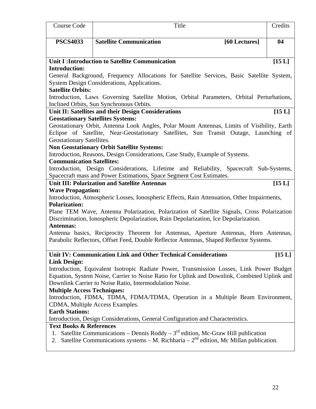| Course Code                        | Title                                                                                                                                                  | Credits |
|------------------------------------|--------------------------------------------------------------------------------------------------------------------------------------------------------|---------|
| <b>PSCS4033</b>                    | <b>Satellite Communication</b>                                                                                                                         | 04      |
|                                    | [60 Lectures]                                                                                                                                          |         |
|                                    |                                                                                                                                                        |         |
| <b>Introduction:</b>               | Unit I: Introduction to Satellite Communication                                                                                                        | [15L]   |
|                                    | General Background, Frequency Allocations for Satellite Services, Basic Satellite System,                                                              |         |
|                                    | <b>System Design Considerations, Applications.</b>                                                                                                     |         |
| <b>Satellite Orbits:</b>           |                                                                                                                                                        |         |
|                                    | Introduction, Laws Governing Satellite Motion, Orbital Parameters, Orbital Perturbations,<br>Inclined Orbits, Sun Synchronous Orbits.                  |         |
|                                    | Unit II: Satellites and their Design Considerations                                                                                                    | [15L]   |
|                                    | <b>Geostationary Satellites Systems:</b>                                                                                                               |         |
|                                    | Geostationary Orbit, Antenna Look Angles, Polar Mount Antennas, Limits of Visibility, Earth                                                            |         |
|                                    | Eclipse of Satellite, Near-Geostationary Satellites, Sun Transit Outage, Launching of                                                                  |         |
| Geostationary Satellites.          |                                                                                                                                                        |         |
|                                    | <b>Non Geostationary Orbit Satellite Systems:</b>                                                                                                      |         |
| <b>Communication Satellites:</b>   | Introduction, Reasons, Design Considerations, Case Study, Example of Systems.                                                                          |         |
|                                    | Introduction, Design Considerations, Lifetime and Reliability, Spacecraft Sub-Systems,                                                                 |         |
|                                    | Spacecraft mass and Power Estimations, Space Segment Cost Estimates.                                                                                   |         |
|                                    | <b>Unit III: Polarization and Satellite Antennas</b>                                                                                                   | [15 L]  |
| <b>Wave Propagation:</b>           |                                                                                                                                                        |         |
|                                    | Introduction, Atmospheric Losses, Ionospheric Effects, Rain Attenuation, Other Impairments,                                                            |         |
| <b>Polarization:</b>               |                                                                                                                                                        |         |
|                                    | Plane TEM Wave, Antenna Polarization, Polarization of Satellite Signals, Cross Polarization                                                            |         |
| <b>Antennas:</b>                   | Discrimination, Ionospheric Depolarization, Rain Depolarization, Ice Depolarization.                                                                   |         |
|                                    | Antenna basics, Reciprocity Theorem for Antennas, Aperture Antennas, Horn Antennas,                                                                    |         |
|                                    | Parabolic Reflectors, Offset Feed, Double Reflector Antennas, Shaped Reflector Systems.                                                                |         |
|                                    |                                                                                                                                                        |         |
|                                    | Unit IV: Communication Link and Other Technical Considerations                                                                                         | [15L]   |
| <b>Link Design:</b>                |                                                                                                                                                        |         |
|                                    | Introduction, Equivalent Isotropic Radiate Power, Transmission Losses, Link Power Budget                                                               |         |
|                                    | Equation, System Noise, Carrier to Noise Ratio for Uplink and Downlink, Combined Uplink and<br>Downlink Carrier to Noise Ratio, Intermodulation Noise. |         |
| <b>Multiple Access Techniques:</b> |                                                                                                                                                        |         |
|                                    | Introduction, FDMA, TDMA, FDMA/TDMA, Operation in a Multiple Beam Environment,                                                                         |         |
|                                    | CDMA, Multiple Access Examples.                                                                                                                        |         |
| <b>Earth Stations:</b>             |                                                                                                                                                        |         |
|                                    | Introduction, Design Considerations, General Configuration and Characteristics.                                                                        |         |
| <b>Text Books &amp; References</b> |                                                                                                                                                        |         |
| 1.                                 | Satellite Communications – Dennis Roddy – $3rd$ edition, Mc-Graw Hill publication                                                                      |         |
| 2.                                 | Satellite Communications systems – M. Richharia – $2nd$ edition, Mc Millan publication.                                                                |         |
|                                    |                                                                                                                                                        |         |
|                                    |                                                                                                                                                        |         |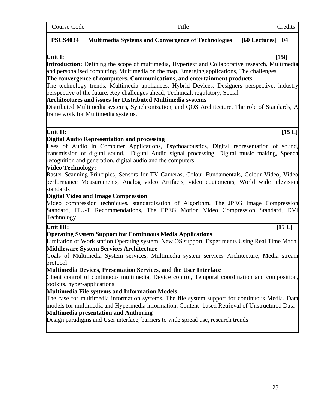| Course Code                              | Title                                                                                                                                                                                                                                                                                                                                                                                                                                                                                                                                                                                                                                                                                                                                                                                                                     | Credits  |
|------------------------------------------|---------------------------------------------------------------------------------------------------------------------------------------------------------------------------------------------------------------------------------------------------------------------------------------------------------------------------------------------------------------------------------------------------------------------------------------------------------------------------------------------------------------------------------------------------------------------------------------------------------------------------------------------------------------------------------------------------------------------------------------------------------------------------------------------------------------------------|----------|
| <b>PSCS4034</b>                          | <b>Multimedia Systems and Convergence of Technologies</b><br>$[60$ Lectures $]$ 04                                                                                                                                                                                                                                                                                                                                                                                                                                                                                                                                                                                                                                                                                                                                        |          |
| Unit I:                                  | <b>Introduction:</b> Defining the scope of multimedia, Hypertext and Collaborative research, Multimedia<br>and personalised computing, Multimedia on the map, Emerging applications, The challenges<br>The convergence of computers, Communications, and entertainment products<br>The technology trends, Multimedia appliances, Hybrid Devices, Designers perspective, industry<br>perspective of the future, Key challenges ahead, Technical, regulatory, Social<br><b>Architectures and issues for Distributed Multimedia systems</b><br>Distributed Multimedia systems, Synchronization, and QOS Architecture, The role of Standards, A<br>frame work for Multimedia systems.                                                                                                                                         | $[15]$   |
| Unit II:                                 | <b>Digital Audio Representation and processing</b>                                                                                                                                                                                                                                                                                                                                                                                                                                                                                                                                                                                                                                                                                                                                                                        | $[15 L]$ |
| <b>Video Technology:</b><br>standards    | Uses of Audio in Computer Applications, Psychoacoustics, Digital representation of sound,<br>transmission of digital sound, Digital Audio signal processing, Digital music making, Speech<br>recognition and generation, digital audio and the computers<br>Raster Scanning Principles, Sensors for TV Cameras, Colour Fundamentals, Colour Video, Video<br>performance Measurements, Analog video Artifacts, video equipments, World wide television<br><b>Digital Video and Image Compression</b>                                                                                                                                                                                                                                                                                                                       |          |
| Technology                               | Video compression techniques, standardization of Algorithm, The JPEG Image Compression<br>Standard, ITU-T Recommendations, The EPEG Motion Video Compression Standard, DVI                                                                                                                                                                                                                                                                                                                                                                                                                                                                                                                                                                                                                                                |          |
| Unit III:                                | <b>Operating System Support for Continuous Media Applications</b>                                                                                                                                                                                                                                                                                                                                                                                                                                                                                                                                                                                                                                                                                                                                                         | [15L]    |
| protocol<br>toolkits, hyper-applications | Limitation of Work station Operating system, New OS support, Experiments Using Real Time Mach<br><b>Middleware System Services Architecture</b><br>Goals of Multimedia System services, Multimedia system services Architecture, Media stream<br>Multimedia Devices, Presentation Services, and the User Interface<br>Client control of continuous multimedia, Device control, Temporal coordination and composition,<br><b>Multimedia File systems and Information Models</b><br>The case for multimedia information systems, The file system support for continuous Media, Data<br>models for multimedia and Hypermedia information, Content- based Retrieval of Unstructured Data<br><b>Multimedia presentation and Authoring</b><br>Design paradigms and User interface, barriers to wide spread use, research trends |          |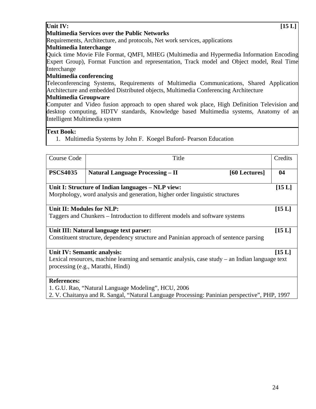# Unit IV: [15 L]

### **Multimedia Services over the Public Networks**

Requirements, Architecture, and protocols, Net work services, applications

# **Multimedia Interchange**

Quick time Movie File Format, QMFI, MHEG (Multimedia and Hypermedia Information Encoding Expert Group), Format Function and representation, Track model and Object model, Real Time Interchange

# **Multimedia conferencing**

Teleconferencing Systems, Requirements of Multimedia Communications, Shared Application Architecture and embedded Distributed objects, Multimedia Conferencing Architecture

# **Multimedia Groupware**

Computer and Video fusion approach to open shared wok place, High Definition Television and desktop computing, HDTV standards, Knowledge based Multimedia systems, Anatomy of an Intelligent Multimedia system

# **Text Book:**

1. Multimedia Systems by John F. Koegel Buford- Pearson Education

| Course Code                 | Title                                                                                             |               | Credits |
|-----------------------------|---------------------------------------------------------------------------------------------------|---------------|---------|
| <b>PSCS4035</b>             | <b>Natural Language Processing – II</b>                                                           | [60 Lectures] | 04      |
|                             | Unit I: Structure of Indian languages – NLP view:                                                 |               | [15L]   |
|                             | Morphology, word analysis and generation, higher order linguistic structures                      |               |         |
| Unit II: Modules for NLP:   |                                                                                                   |               | [15 L]  |
|                             | Taggers and Chunkers – Introduction to different models and software systems                      |               |         |
|                             | Unit III: Natural language text parser:                                                           |               | [15L]   |
|                             | Constituent structure, dependency structure and Paninian approach of sentence parsing             |               |         |
| Unit IV: Semantic analysis: |                                                                                                   |               | [15 L]  |
|                             | Lexical resources, machine learning and semantic analysis, case study $-$ an Indian language text |               |         |
|                             | processing (e.g., Marathi, Hindi)                                                                 |               |         |
| <b>References:</b>          |                                                                                                   |               |         |
|                             | 1. G.U. Rao, "Natural Language Modeling", HCU, 2006                                               |               |         |
|                             | 2. V. Chaitanya and R. Sangal, "Natural Language Processing: Paninian perspective", PHP, 1997     |               |         |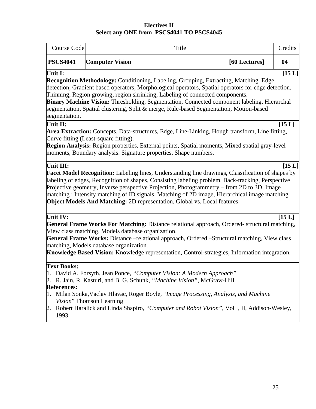# **Electives II Select any ONE from PSCS4041 TO PSCS4045**

| Course Code                                                                | Title                                                                                                                                                                                                                                                                                                                                                                                                                                                                                             |               | Credits  |
|----------------------------------------------------------------------------|---------------------------------------------------------------------------------------------------------------------------------------------------------------------------------------------------------------------------------------------------------------------------------------------------------------------------------------------------------------------------------------------------------------------------------------------------------------------------------------------------|---------------|----------|
| <b>PSCS4041</b>                                                            | <b>Computer Vision</b>                                                                                                                                                                                                                                                                                                                                                                                                                                                                            | [60 Lectures] | 04       |
| Unit I:<br>segmentation.                                                   | <b>Recognition Methodology:</b> Conditioning, Labeling, Grouping, Extracting, Matching. Edge<br>detection, Gradient based operators, Morphological operators, Spatial operators for edge detection.<br>Thinning, Region growing, region shrinking, Labeling of connected components.<br>Binary Machine Vision: Thresholding, Segmentation, Connected component labeling, Hierarchal<br>segmentation, Spatial clustering, Split & merge, Rule-based Segmentation, Motion-based                     |               | $[15 L]$ |
| Unit II:                                                                   | Area Extraction: Concepts, Data-structures, Edge, Line-Linking, Hough transform, Line fitting,<br>Curve fitting (Least-square fitting).<br>Region Analysis: Region properties, External points, Spatial moments, Mixed spatial gray-level<br>moments, Boundary analysis: Signature properties, Shape numbers.                                                                                                                                                                                     |               | [15 L]   |
| Unit III:                                                                  | <b>Facet Model Recognition:</b> Labeling lines, Understanding line drawings, Classification of shapes by<br>labeling of edges, Recognition of shapes, Consisting labeling problem, Back-tracking, Perspective<br>Projective geometry, Inverse perspective Projection, Photogrammetry – from 2D to 3D, Image<br>matching: Intensity matching of ID signals, Matching of 2D image, Hierarchical image matching.<br><b>Object Models And Matching: 2D representation, Global vs. Local features.</b> |               | [15L]    |
| Unit IV:                                                                   | General Frame Works For Matching: Distance relational approach, Ordered- structural matching,<br>View class matching, Models database organization.<br>General Frame Works: Distance -relational approach, Ordered -Structural matching, View class<br>matching, Models database organization.<br>Knowledge Based Vision: Knowledge representation, Control-strategies, Information integration.                                                                                                  |               | [15L]    |
| <b>Text Books:</b><br><b>References:</b><br>1.<br>Vision" Thomson Learning | David A. Forsyth, Jean Ponce, "Computer Vision: A Modern Approach"<br>R. Jain, R. Kasturi, and B. G. Schunk, "Machine Vision", McGraw-Hill.<br>Milan Sonka, Vaclav Hlavac, Roger Boyle, "Image Processing, Analysis, and Machine                                                                                                                                                                                                                                                                  |               |          |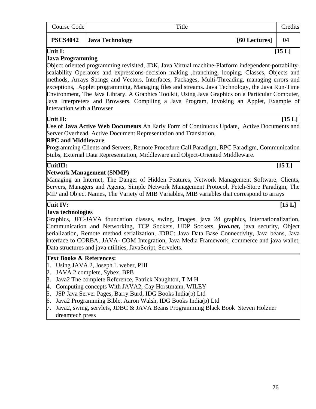| Course Code                                                                          | Title                                                                                                                                                                                                                                                                                                                                                                                                                                                                                                                                                                                                       |  | Credits  |  |  |
|--------------------------------------------------------------------------------------|-------------------------------------------------------------------------------------------------------------------------------------------------------------------------------------------------------------------------------------------------------------------------------------------------------------------------------------------------------------------------------------------------------------------------------------------------------------------------------------------------------------------------------------------------------------------------------------------------------------|--|----------|--|--|
| <b>PSCS4042</b>                                                                      | <b>Java Technology</b><br>[60 Lectures]                                                                                                                                                                                                                                                                                                                                                                                                                                                                                                                                                                     |  |          |  |  |
| Unit I:<br><b>Java Programming</b><br><b>Interaction with a Browser</b>              | Object oriented programming revisited, JDK, Java Virtual machine-Platform independent-portability-<br>scalability Operators and expressions-decision making , branching, looping, Classes, Objects and<br>methods, Arrays Strings and Vectors, Interfaces, Packages, Multi-Threading, managing errors and<br>exceptions, Applet programming, Managing files and streams. Java Technology, the Java Run-Time<br>Environment, The Java Library. A Graphics Toolkit, Using Java Graphics on a Particular Computer,<br>Java Interpreters and Browsers. Compiling a Java Program, Invoking an Applet, Example of |  | $[15 L]$ |  |  |
| Unit II:<br><b>RPC and Middleware</b>                                                | Use of Java Active Web Documents An Early Form of Continuous Update, Active Documents and<br>Server Overhead, Active Document Representation and Translation,<br>Programming Clients and Servers, Remote Procedure Call Paradigm, RPC Paradigm, Communication<br>Stubs, External Data Representation, Middleware and Object-Oriented Middleware.                                                                                                                                                                                                                                                            |  | [15L]    |  |  |
| UnitIII:                                                                             | <b>Network Management (SNMP)</b><br>Managing an Internet, The Danger of Hidden Features, Network Management Software, Clients,<br>Servers, Managers and Agents, Simple Network Management Protocol, Fetch-Store Paradigm, The<br>MIP and Object Names, The Variety of MIB Variables, MIB variables that correspond to arrays                                                                                                                                                                                                                                                                                |  | [15 L]   |  |  |
| Unit IV:<br>Java technologies                                                        | Graphics, JFC-JAVA foundation classes, swing, images, java 2d graphics, internationalization,<br>Communication and Networking, TCP Sockets, UDP Sockets, <i>java.net</i> , java security, Object<br>serialization, Remote method serialization, JDBC: Java Data Base Connectivity, Java beans, Java<br>interface to CORBA, JAVA- COM Integration, Java Media Framework, commerce and java wallet,<br>Data structures and java utilities, JavaScript, Servelets.                                                                                                                                             |  | [15 L]   |  |  |
| <b>Text Books &amp; References:</b><br>3.<br>4.<br>5.<br>6.<br>7.<br>dreamtech press | Using JAVA 2, Joseph L weber, PHI<br>JAVA 2 complete, Sybex, BPB<br>Java2 The complete Reference, Patrick Naughton, T M H<br>Computing concepts With JAVA2, Cay Horstmann, WILEY<br>JSP Java Server Pages, Barry Burd, IDG Books India(p) Ltd<br>Java2 Programming Bible, Aaron Walsh, IDG Books India(p) Ltd<br>Java2, swing, servlets, JDBC & JAVA Beans Programming Black Book Steven Holzner                                                                                                                                                                                                            |  |          |  |  |

 $\mathbf{r}$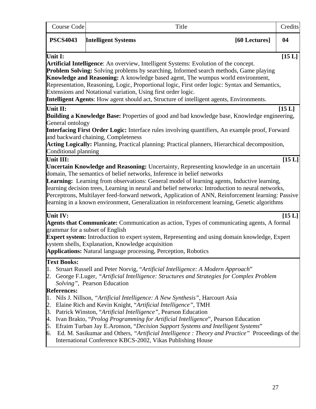| <b>Course Code</b>                                                                  | Title                                                                                                                                                                                                                                                                                                                                                                                                                                                                                                                                                                                                                                                                                                                                                             |               | Credits  |
|-------------------------------------------------------------------------------------|-------------------------------------------------------------------------------------------------------------------------------------------------------------------------------------------------------------------------------------------------------------------------------------------------------------------------------------------------------------------------------------------------------------------------------------------------------------------------------------------------------------------------------------------------------------------------------------------------------------------------------------------------------------------------------------------------------------------------------------------------------------------|---------------|----------|
| <b>PSCS4043</b>                                                                     | <b>Intelligent Systems</b>                                                                                                                                                                                                                                                                                                                                                                                                                                                                                                                                                                                                                                                                                                                                        | [60 Lectures] | 04       |
| Unit I:                                                                             | <b>Artificial Intelligence:</b> An overview, Intelligent Systems: Evolution of the concept.<br><b>Problem Solving:</b> Solving problems by searching, Informed search methods, Game playing<br>Knowledge and Reasoning: A knowledge based agent, The wumpus world environment,<br>Representation, Reasoning, Logic, Proportional logic, First order logic: Syntax and Semantics,<br>Extensions and Notational variation, Using first order logic.<br><b>Intelligent Agents:</b> How agent should act, Structure of intelligent agents, Environments.                                                                                                                                                                                                              |               | $[15 L]$ |
| Unit II:<br>General ontology<br>Conditional planning                                | <b>Building a Knowledge Base:</b> Properties of good and bad knowledge base, Knowledge engineering,<br><b>Interfacing First Order Logic:</b> Interface rules involving quantifiers, An example proof, Forward<br>and backward chaining, Completeness<br>Acting Logically: Planning, Practical planning: Practical planners, Hierarchical decomposition,                                                                                                                                                                                                                                                                                                                                                                                                           |               | [15L]    |
| Unit III:                                                                           | <b>Uncertain Knowledge and Reasoning:</b> Uncertainty, Representing knowledge in an uncertain<br>domain, The semantics of belief networks, Inference in belief networks<br><b>Learning:</b> Learning from observations: General model of learning agents, Inductive learning,<br>learning decision trees, Learning in neural and belief networks: Introduction to neural networks,<br>Perceptrons, Multilayer feed-forward network, Application of ANN, Reinforcement learning: Passive<br>learning in a known environment, Generalization in reinforcement learning, Genetic algorithms                                                                                                                                                                          |               | [15L]    |
| Unit IV:                                                                            | Agents that Communicate: Communication as action, Types of communicating agents, A formal<br>grammar for a subset of English<br><b>Expert system:</b> Introduction to expert system, Representing and using domain knowledge, Expert<br>system shells, Explanation, Knowledge acquisition<br><b>Applications:</b> Natural language processing, Perception, Robotics                                                                                                                                                                                                                                                                                                                                                                                               |               | [15L]    |
| <b>Text Books:</b><br>l1.<br><b>References:</b><br>1.<br>2.<br>β.<br>4.<br>5.<br>6. | Struart Russell and Peter Norvig, "Artificial Intelligence: A Modern Approach"<br>2. George F.Luger, "Artificial Intelligence: Structures and Strategies for Complex Problem<br>Solving", Pearson Education<br>Nils J. Nillson, "Artificial Intelligence: A New Synthesis", Harcourt Asia<br>Elaine Rich and Kevin Knight, "Artificial Intelligence", TMH<br>Patrick Winston, "Artificial Intelligence", Pearson Education<br>Ivan Brakto, "Prolog Programming for Artificial Intelligence", Pearson Education<br>Efraim Turban Jay E.Aronson, "Decision Support Systems and Intelligent Systems"<br>Ed. M. Sasikumar and Others, "Artificial Intelligence: Theory and Practice" Proceedings of the<br>International Conference KBCS-2002, Vikas Publishing House |               |          |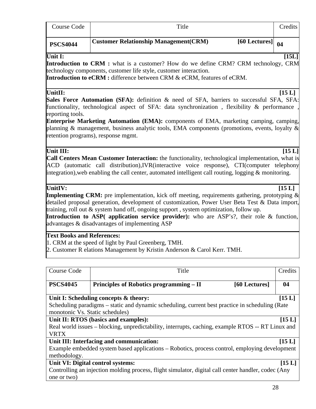| Course Code     | Title                                                                                                   | Credits |
|-----------------|---------------------------------------------------------------------------------------------------------|---------|
| <b>PSCS4044</b> | <b>Customer Relationship Management (CRM)</b><br>$\begin{bmatrix} 60 \text{ Lectures} \end{bmatrix}$ 04 |         |

### Unit I: [15L]

**Introduction to CRM :** what is a customer? How do we define CRM? CRM technology, CRM technology components, customer life style, customer interaction.

**Introduction to eCRM :** difference between CRM & eCRM, features of eCRM.

UnitII: [15 L]

Sales Force Automation (SFA): definition & need of SFA, barriers to successful SFA, SFA: functionality, technological aspect of SFA: data synchronization, flexibility & performance reporting tools.

**Enterprise Marketing Automation (EMA):** components of EMA, marketing camping, camping, planning & management, business analytic tools, EMA components (promotions, events, loyalty & retention programs), response mgmt.

### **Unit III:** [15 L]

**Call Centers Mean Customer Interaction:** the functionality, technological implementation, what is ACD (automatic call distribution),IVR(interactive voice response), CTI(computer telephony integration), web enabling the call center, automated intelligent call routing, logging  $\&$  monitoring.

# **UnitIV: [15 L]**

**Implementing CRM:** pre implementation, kick off meeting, requirements gathering, prototyping & detailed proposal generation, development of customization, Power User Beta Test & Data import, training, roll out & system hand off, ongoing support , system optimization, follow up.

**Introduction to ASP( application service provider):** who are ASP's?, their role & function, advantages & disadvantages of implementing ASP

### **Text Books and References:**

1. CRM at the speed of light by Paul Greenberg, TMH.

2. Customer R elations Management by Kristin Anderson & Carol Kerr. TMH.

| Course Code                                                                                         | Title                                                                                           | Credits |  |  |  |
|-----------------------------------------------------------------------------------------------------|-------------------------------------------------------------------------------------------------|---------|--|--|--|
|                                                                                                     |                                                                                                 |         |  |  |  |
|                                                                                                     |                                                                                                 |         |  |  |  |
| <b>PSCS4045</b>                                                                                     | Principles of Robotics programming – II<br>[60 Lectures]                                        | 04      |  |  |  |
|                                                                                                     |                                                                                                 |         |  |  |  |
|                                                                                                     | Unit I: Scheduling concepts & theory:                                                           | [15L]   |  |  |  |
|                                                                                                     | Scheduling paradigms – static and dynamic scheduling, current best practice in scheduling (Rate |         |  |  |  |
| monotonic Vs. Static schedules)                                                                     |                                                                                                 |         |  |  |  |
| Unit II: RTOS (basics and examples):<br>[15L]                                                       |                                                                                                 |         |  |  |  |
| Real world issues – blocking, unpredictability, interrupts, caching, example RTOS -- RT Linux and   |                                                                                                 |         |  |  |  |
| <b>VRTX</b>                                                                                         |                                                                                                 |         |  |  |  |
|                                                                                                     | Unit III: Interfacing and communication:                                                        | [15L]   |  |  |  |
| Example embedded system based applications – Robotics, process control, employing development       |                                                                                                 |         |  |  |  |
| methodology.                                                                                        |                                                                                                 |         |  |  |  |
|                                                                                                     | Unit VI: Digital control systems:                                                               | [15 L]  |  |  |  |
| Controlling an injection molding process, flight simulator, digital call center handler, codec (Any |                                                                                                 |         |  |  |  |
| one or two)                                                                                         |                                                                                                 |         |  |  |  |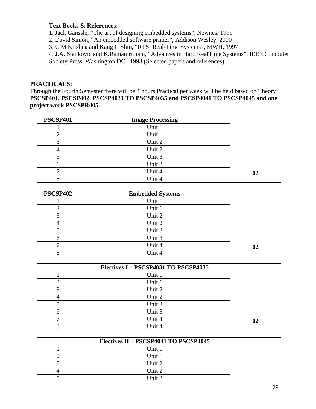# **Text Books & References:**

**1.** Jack Ganssle, "The art of designing embedded systems", Newnes, 1999

2. David Simon, "An embedded software primer", Addison Wesley, 2000

3. C M Krishna and Kang G Shin, "RTS: Real-Time Systems", MWH, 1997

4. J.A. Stankovic and K.Ramamritham, "Advances in Hard RealTime Systems", IEEE Computer

Society Press, Washington DC, 1993 (Selected papers and references)

### **PRACTICALS:**

Through the Fourth Semester there will be 4 hours Practical per week will be held based on Theory **PSCSP401, PSCSP402, PSCSP4031 TO PSCSP4035 and PSCSP4041 TO PSCSP4045 and one project work PSCSPR405.** 

| <b>PSCSP401</b>  | <b>Image Processing</b>               |    |
|------------------|---------------------------------------|----|
| 1                | Unit 1                                |    |
| $\overline{2}$   | Unit 1                                |    |
| $\mathfrak{Z}$   | Unit 2                                |    |
| $\overline{4}$   | Unit 2                                |    |
| 5                | Unit 3                                |    |
| $\boldsymbol{6}$ | Unit 3                                |    |
| $\overline{7}$   | Unit 4                                | 02 |
| 8                | Unit 4                                |    |
|                  |                                       |    |
| <b>PSCSP402</b>  | <b>Embedded Systems</b>               |    |
| $\mathbf{1}$     | Unit 1                                |    |
| $\mathbf{2}$     | Unit 1                                |    |
| $\overline{3}$   | Unit 2                                |    |
| $\overline{4}$   | Unit 2                                |    |
| 5                | Unit 3                                |    |
| $\overline{6}$   | Unit 3                                |    |
| $\boldsymbol{7}$ | Unit 4                                | 02 |
| $8\,$            | Unit 4                                |    |
|                  |                                       |    |
|                  | Electives I - PSCSP4031 TO PSCSP4035  |    |
| $\mathbf{1}$     | Unit 1                                |    |
| $\sqrt{2}$       | Unit 1                                |    |
| $\overline{3}$   | Unit 2                                |    |
| $\overline{4}$   | Unit 2                                |    |
| $\overline{5}$   | Unit 3                                |    |
| 6                | Unit 3                                |    |
| $\overline{7}$   | Unit 4                                | 02 |
| $\overline{8}$   | Unit 4                                |    |
|                  |                                       |    |
|                  | Electives II - PSCSP4041 TO PSCSP4045 |    |
| $\mathbf{1}$     | Unit 1                                |    |
| $\sqrt{2}$       | Unit 1                                |    |
| 3                | Unit 2                                |    |
| $\overline{4}$   | Unit 2                                |    |
| 5                | Unit 3                                |    |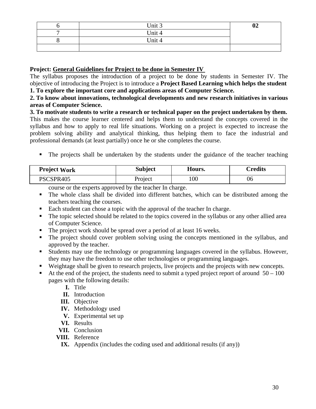|   | Unit 3 | 02 |
|---|--------|----|
| - | Unit 4 |    |
|   | Unit 4 |    |
|   |        |    |

# **Project: General Guidelines for Project to be done in Semester IV**

The syllabus proposes the introduction of a project to be done by students in Semester IV. The objective of introducing the Project is to introduce a **Project Based Learning which helps the student 1. To explore the important core and applications areas of Computer Science.** 

### **2. To know about innovations, technological developments and new research initiatives in various areas of Computer Science.**

**3. To motivate students to write a research or technical paper on the project undertaken by them.**  This makes the course learner centered and helps them to understand the concepts covered in the syllabus and how to apply to real life situations. Working on a project is expected to increase the problem solving ability and analytical thinking, thus helping them to face the industrial and professional demands (at least partially) once he or she completes the course.

The projects shall be undertaken by the students under the guidance of the teacher teaching

| <b>Project Work</b> | <b>Subject</b> | Hours. | Credits |
|---------------------|----------------|--------|---------|
| PSCSPR405           | Project        | 100    | 06      |

course or the experts approved by the teacher In charge.

- The whole class shall be divided into different batches, which can be distributed among the teachers teaching the courses.
- Each student can chose a topic with the approval of the teacher In charge.
- The topic selected should be related to the topics covered in the syllabus or any other allied area of Computer Science.
- The project work should be spread over a period of at least 16 weeks.
- The project should cover problem solving using the concepts mentioned in the syllabus, and approved by the teacher.
- Students may use the technology or programming languages covered in the syllabus. However, they may have the freedom to use other technologies or programming languages.
- Weightage shall be given to research projects, live projects and the projects with new concepts.
- At the end of the project, the students need to submit a typed project report of around  $50 100$ pages with the following details:
	- **I.** Title
	- **II.** Introduction
	- **III.** Objective
	- **IV.** Methodology used
	- **V.** Experimental set up
	- **VI.** Results
	- **VII.** Conclusion
	- **VIII.** Reference
	- **IX.** Appendix (includes the coding used and additional results (if any))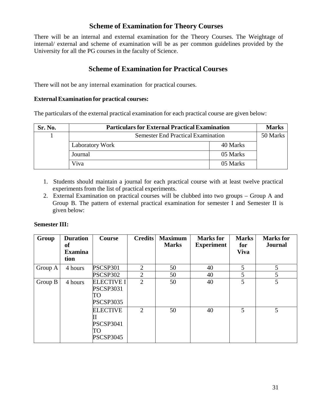# **Scheme of Examination for Theory Courses**

There will be an internal and external examination for the Theory Courses. The Weightage of internal/ external and scheme of examination will be as per common guidelines provided by the University for all the PG courses in the faculty of Science.

# **Scheme of Examination for Practical Courses**

There will not be any internal examination for practical courses.

### **External Examination for practical courses:**

The particulars of the external practical examination for each practical course are given below:

| Sr. No. | <b>Particulars for External Practical Examination</b> |          |  |  |  |
|---------|-------------------------------------------------------|----------|--|--|--|
|         | <b>Semester End Practical Examination</b>             |          |  |  |  |
|         | <b>Laboratory Work</b>                                | 40 Marks |  |  |  |
|         | Journal                                               | 05 Marks |  |  |  |
|         | Viva                                                  | 05 Marks |  |  |  |

- 1. Students should maintain a journal for each practical course with at least twelve practical experiments from the list of practical experiments.
- 2. External Examination on practical courses will be clubbed into two groups Group A and Group B. The pattern of external practical examination for semester I and Semester II is given below:

# **Semester III:**

| Group   | <b>Duration</b><br>оf<br><b>Examina</b><br>tion | <b>Course</b>                                                   | <b>Credits</b> | <b>Maximum</b><br><b>Marks</b> | <b>Marks</b> for<br><b>Experiment</b> | <b>Marks</b><br>for<br><b>Viva</b> | <b>Marks</b> for<br><b>Journal</b> |
|---------|-------------------------------------------------|-----------------------------------------------------------------|----------------|--------------------------------|---------------------------------------|------------------------------------|------------------------------------|
| Group A | 4 hours                                         | PSCSP301                                                        | $\overline{2}$ | 50                             | 40                                    | 5                                  | 5                                  |
|         |                                                 | PSCSP302                                                        | $\overline{2}$ | 50                             | 40                                    | 5                                  | 5                                  |
| Group B | 4 hours                                         | <b>ELECTIVE I</b><br><b>PSCSP3031</b><br>TO<br><b>PSCSP3035</b> | $\overline{2}$ | 50                             | 40                                    | 5                                  | 5                                  |
|         |                                                 | <b>ELECTIVE</b><br><b>PSCSP3041</b><br>TO<br><b>PSCSP3045</b>   | 2              | 50                             | 40                                    | 5                                  | 5                                  |